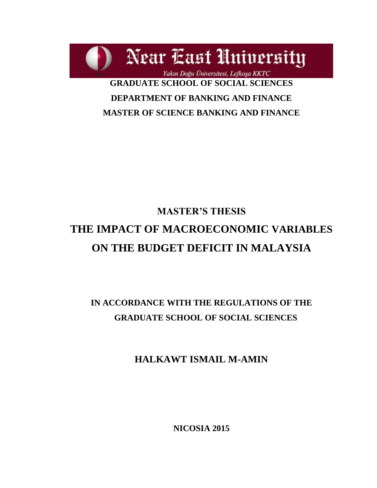Near East University Yakın Doğu Üniversitesi, Lefkoşa KKTC **GRADUATE SCHOOL OF SOCIAL SCIENCES DEPARTMENT OF BANKING AND FINANCE** 

**MASTER OF SCIENCE BANKING AND FINANCE**

# **MASTER'S THESIS THE IMPACT OF MACROECONOMIC VARIABLES ON THE BUDGET DEFICIT IN MALAYSIA**

# **IN ACCORDANCE WITH THE REGULATIONS OF THE GRADUATE SCHOOL OF SOCIAL SCIENCES**

**HALKAWT ISMAIL M-AMIN**

**NICOSIA 2015**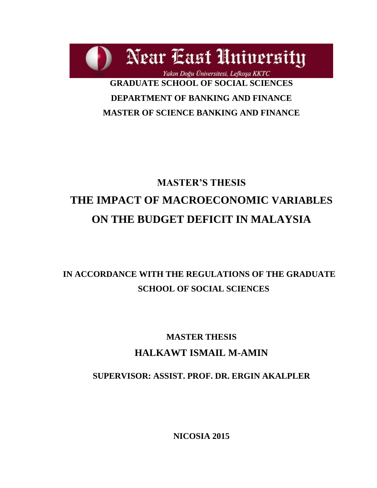Near East University Yakın Doğu Üniversitesi, Lefkoşa KKTC **GRADUATE SCHOOL OF SOCIAL SCIENCES DEPARTMENT OF BANKING AND FINANCE MASTER OF SCIENCE BANKING AND FINANCE**

# **MASTER'S THESIS THE IMPACT OF MACROECONOMIC VARIABLES ON THE BUDGET DEFICIT IN MALAYSIA**

# **IN ACCORDANCE WITH THE REGULATIONS OF THE GRADUATE SCHOOL OF SOCIAL SCIENCES**

# **MASTER THESIS HALKAWT ISMAIL M-AMIN**

# **SUPERVISOR: ASSIST. PROF. DR. ERGIN AKALPLER**

**NICOSIA 2015**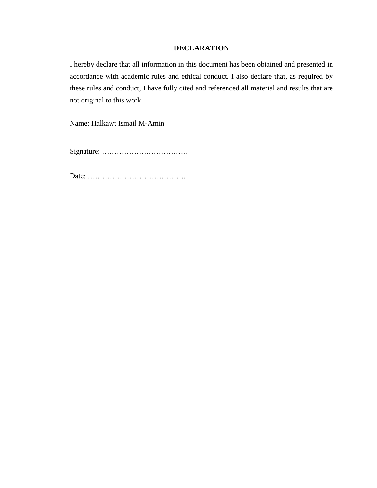### **DECLARATION**

I hereby declare that all information in this document has been obtained and presented in accordance with academic rules and ethical conduct. I also declare that, as required by these rules and conduct, I have fully cited and referenced all material and results that are not original to this work.

Name: Halkawt Ismail M-Amin

Signature: ……………………………..

Date: ………………………………….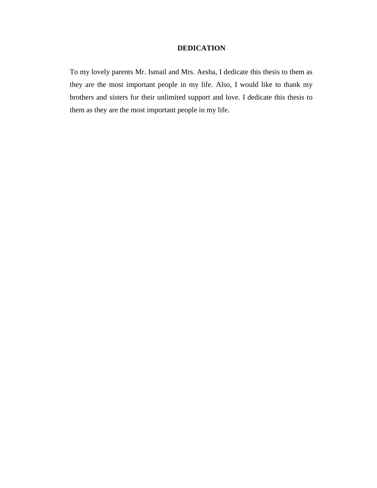### **DEDICATION**

To my lovely parents Mr. Ismail and Mrs. Aesha, I dedicate this thesis to them as they are the most important people in my life. Also, I would like to thank my brothers and sisters for their unlimited support and love. I dedicate this thesis to them as they are the most important people in my life.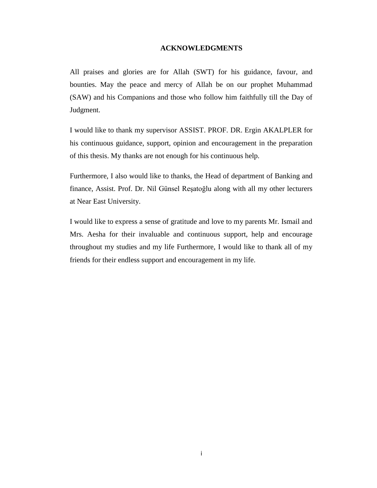#### **ACKNOWLEDGMENTS**

<span id="page-4-0"></span>All praises and glories are for Allah (SWT) for his guidance, favour, and bounties. May the peace and mercy of Allah be on our prophet Muhammad (SAW) and his Companions and those who follow him faithfully till the Day of Judgment.

I would like to thank my supervisor ASSIST. PROF. DR. Ergin AKALPLER for his continuous guidance, support, opinion and encouragement in the preparation of this thesis. My thanks are not enough for his continuous help.

Furthermore, I also would like to thanks, the Head of department of Banking and finance, Assist. Prof. Dr. Nil Günsel Reşatoğlu along with all my other lecturers at Near East University.

I would like to express a sense of gratitude and love to my parents Mr. Ismail and Mrs. Aesha for their invaluable and continuous support, help and encourage throughout my studies and my life Furthermore, I would like to thank all of my friends for their endless support and encouragement in my life.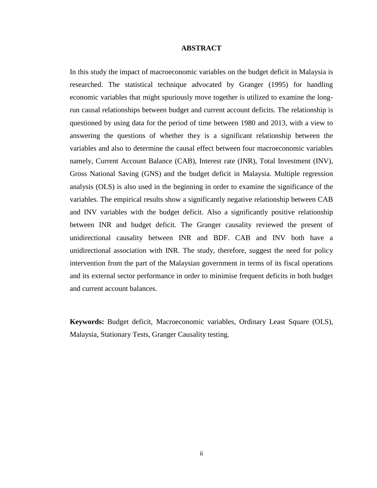#### **ABSTRACT**

<span id="page-5-0"></span>In this study the impact of macroeconomic variables on the budget deficit in Malaysia is researched. The statistical technique advocated by Granger (1995) for handling economic variables that might spuriously move together is utilized to examine the longrun causal relationships between budget and current account deficits. The relationship is questioned by using data for the period of time between 1980 and 2013, with a view to answering the questions of whether they is a significant relationship between the variables and also to determine the causal effect between four macroeconomic variables namely, Current Account Balance (CAB), Interest rate (INR), Total Investment (INV), Gross National Saving (GNS) and the budget deficit in Malaysia. Multiple regression analysis (OLS) is also used in the beginning in order to examine the significance of the variables. The empirical results show a significantly negative relationship between CAB and INV variables with the budget deficit. Also a significantly positive relationship between INR and budget deficit. The Granger causality reviewed the present of unidirectional causality between INR and BDF. CAB and INV both have a unidirectional association with INR. The study, therefore, suggest the need for policy intervention from the part of the Malaysian government in terms of its fiscal operations and its external sector performance in order to minimise frequent deficits in both budget and current account balances.

**Keywords:** Budget deficit, Macroeconomic variables, Ordinary Least Square (OLS), Malaysia, Stationary Tests, Granger Causality testing.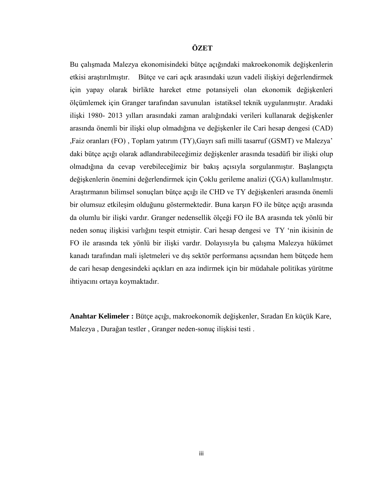### <span id="page-6-0"></span>**ÖZET**

Bu çalışmada Malezya ekonomisindeki bütçe açığındaki makroekonomik değişkenlerin etkisi araştırılmıştır. Bütçe ve cari açık arasındaki uzun vadeli ilişkiyi değerlendirmek için yapay olarak birlikte hareket etme potansiyeli olan ekonomik değişkenleri ölçümlemek için Granger tarafından savunulan istatiksel teknik uygulanmıştır. Aradaki ilişki 1980- 2013 yılları arasındaki zaman aralığındaki verileri kullanarak değişkenler arasında önemli bir ilişki olup olmadığına ve değişkenler ile Cari hesap dengesi (CAD) ,Faiz oranları (FO) , Toplam yatırım (TY),Gayrı safi milli tasarruf (GSMT) ve Malezya" daki bütçe açığı olarak adlandırabileceğimiz değişkenler arasında tesadüfi bir ilişki olup olmadığına da cevap verebileceğimiz bir bakış açısıyla sorgulanmıştır. Başlangıçta değişkenlerin önemini değerlendirmek için Çoklu gerileme analizi (ÇGA) kullanılmıştır. Araştırmanın bilimsel sonuçları bütçe açığı ile CHD ve TY değişkenleri arasında önemli bir olumsuz etkileşim olduğunu göstermektedir. Buna karşın FO ile bütçe açığı arasında da olumlu bir ilişki vardır. Granger nedensellik ölçeği FO ile BA arasında tek yönlü bir neden sonuç ilişkisi varlığını tespit etmiştir. Cari hesap dengesi ve TY "nin ikisinin de FO ile arasında tek yönlü bir ilişki vardır. Dolayısıyla bu çalışma Malezya hükümet kanadı tarafından mali işletmeleri ve dış sektör performansı açısından hem bütçede hem de cari hesap dengesindeki açıkları en aza indirmek için bir müdahale politikas yürütme ihtiyacını ortaya koymaktadır.

**Anahtar Kelimeler :** Bütçe açığı, makroekonomik değişkenler, Sıradan En küçük Kare, Malezya , Durağan testler , Granger neden-sonuç ilişkisi testi .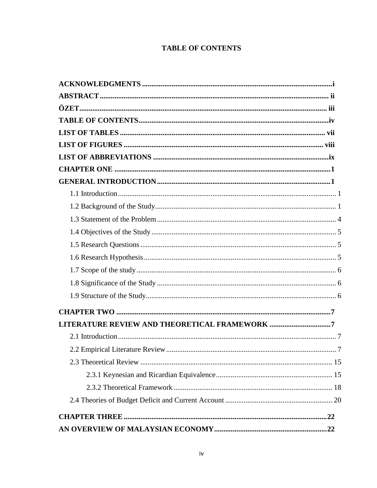# **TABLE OF CONTENTS**

<span id="page-7-0"></span>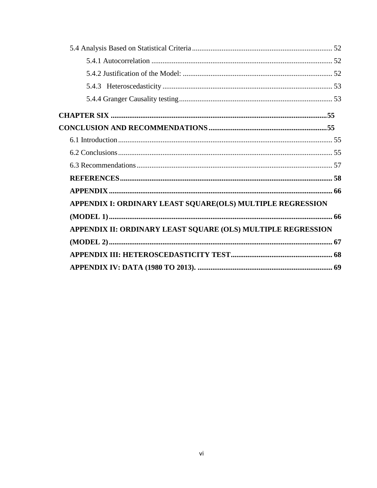| APPENDIX I: ORDINARY LEAST SQUARE(OLS) MULTIPLE REGRESSION<br>APPENDIX II: ORDINARY LEAST SQUARE (OLS) MULTIPLE REGRESSION |  |
|----------------------------------------------------------------------------------------------------------------------------|--|
|                                                                                                                            |  |
|                                                                                                                            |  |
|                                                                                                                            |  |
|                                                                                                                            |  |
|                                                                                                                            |  |
|                                                                                                                            |  |
|                                                                                                                            |  |
|                                                                                                                            |  |
|                                                                                                                            |  |
|                                                                                                                            |  |
|                                                                                                                            |  |
|                                                                                                                            |  |
|                                                                                                                            |  |
|                                                                                                                            |  |
|                                                                                                                            |  |
|                                                                                                                            |  |
|                                                                                                                            |  |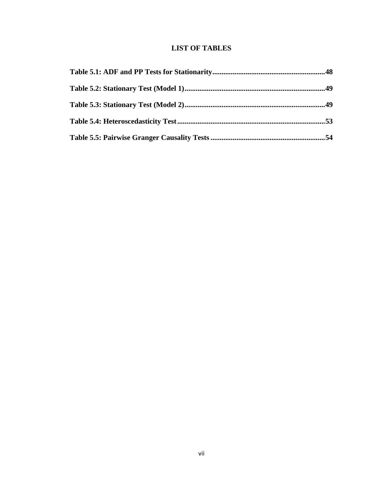# **LIST OF TABLES**

<span id="page-10-0"></span>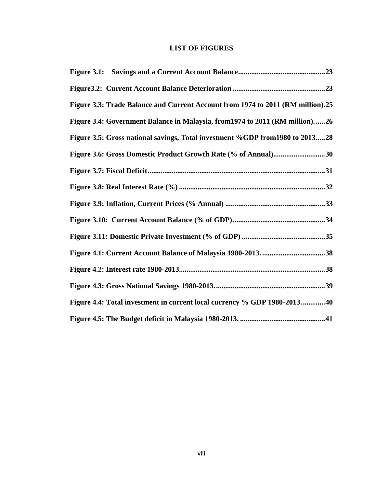# **LIST OF FIGURES**

<span id="page-11-0"></span>

| Figure 3.3: Trade Balance and Current Account from 1974 to 2011 (RM million).25 |  |
|---------------------------------------------------------------------------------|--|
| Figure 3.4: Government Balance in Malaysia, from 1974 to 2011 (RM million)26    |  |
| Figure 3.5: Gross national savings, Total investment %GDP from 1980 to 201328   |  |
| Figure 3.6: Gross Domestic Product Growth Rate (% of Annual)30                  |  |
|                                                                                 |  |
|                                                                                 |  |
|                                                                                 |  |
|                                                                                 |  |
|                                                                                 |  |
|                                                                                 |  |
|                                                                                 |  |
|                                                                                 |  |
| Figure 4.4: Total investment in current local currency % GDP 1980-201340        |  |
|                                                                                 |  |
|                                                                                 |  |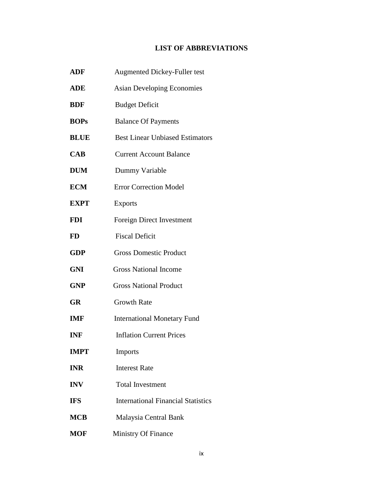# **LIST OF ABBREVIATIONS**

<span id="page-12-0"></span>

| <b>ADF</b>  | <b>Augmented Dickey-Fuller test</b>       |
|-------------|-------------------------------------------|
| <b>ADE</b>  | <b>Asian Developing Economies</b>         |
| <b>BDF</b>  | <b>Budget Deficit</b>                     |
| <b>BOPs</b> | <b>Balance Of Payments</b>                |
| <b>BLUE</b> | <b>Best Linear Unbiased Estimators</b>    |
| <b>CAB</b>  | <b>Current Account Balance</b>            |
| <b>DUM</b>  | Dummy Variable                            |
| <b>ECM</b>  | <b>Error Correction Model</b>             |
| <b>EXPT</b> | <b>Exports</b>                            |
| <b>FDI</b>  | <b>Foreign Direct Investment</b>          |
| <b>FD</b>   | <b>Fiscal Deficit</b>                     |
| <b>GDP</b>  | <b>Gross Domestic Product</b>             |
| <b>GNI</b>  | <b>Gross National Income</b>              |
| <b>GNP</b>  | <b>Gross National Product</b>             |
| <b>GR</b>   | <b>Growth Rate</b>                        |
| <b>IMF</b>  | <b>International Monetary Fund</b>        |
| <b>INF</b>  | <b>Inflation Current Prices</b>           |
| <b>IMPT</b> | Imports                                   |
| <b>INR</b>  | <b>Interest Rate</b>                      |
| <b>INV</b>  | <b>Total Investment</b>                   |
| <b>IFS</b>  | <b>International Financial Statistics</b> |
| <b>MCB</b>  | Malaysia Central Bank                     |
| <b>MOF</b>  | Ministry Of Finance                       |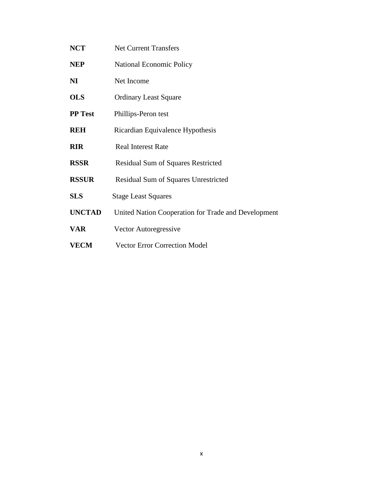**NCT** Net Current Transfers **NEP** National Economic Policy **NI** Net Income **OLS** Ordinary Least Square **PP Test** Phillips-Peron test **REH** Ricardian Equivalence Hypothesis **RIR** Real Interest Rate **RSSR** Residual Sum of Squares Restricted **RSSUR** Residual Sum of Squares Unrestricted **SLS** Stage Least Squares **UNCTAD** United Nation Cooperation for Trade and Development **VAR** Vector Autoregressive **VECM** Vector Error Correction Model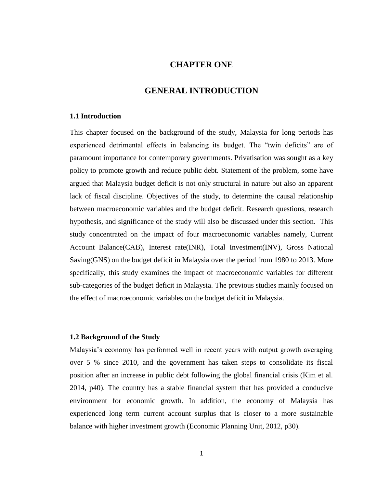# **CHAPTER ONE**

## **GENERAL INTRODUCTION**

#### <span id="page-14-2"></span><span id="page-14-1"></span><span id="page-14-0"></span>**1.1 Introduction**

This chapter focused on the background of the study, Malaysia for long periods has experienced detrimental effects in balancing its budget. The "twin deficits" are of paramount importance for contemporary governments. Privatisation was sought as a key policy to promote growth and reduce public debt. Statement of the problem, some have argued that Malaysia budget deficit is not only structural in nature but also an apparent lack of fiscal discipline. Objectives of the study, to determine the causal relationship between macroeconomic variables and the budget deficit. Research questions, research hypothesis, and significance of the study will also be discussed under this section. This study concentrated on the impact of four macroeconomic variables namely, Current Account Balance(CAB), Interest rate(INR), Total Investment(INV), Gross National Saving(GNS) on the budget deficit in Malaysia over the period from 1980 to 2013. More specifically, this study examines the impact of macroeconomic variables for different sub-categories of the budget deficit in Malaysia. The previous studies mainly focused on the effect of macroeconomic variables on the budget deficit in Malaysia.

#### <span id="page-14-3"></span>**1.2 Background of the Study**

Malaysia"s economy has performed well in recent years with output growth averaging over 5 % since 2010, and the government has taken steps to consolidate its fiscal position after an increase in public debt following the global financial crisis (Kim et al. 2014, p40). The country has a stable financial system that has provided a conducive environment for economic growth. In addition, the economy of Malaysia has experienced long term current account surplus that is closer to a more sustainable balance with higher investment growth (Economic Planning Unit, 2012, p30).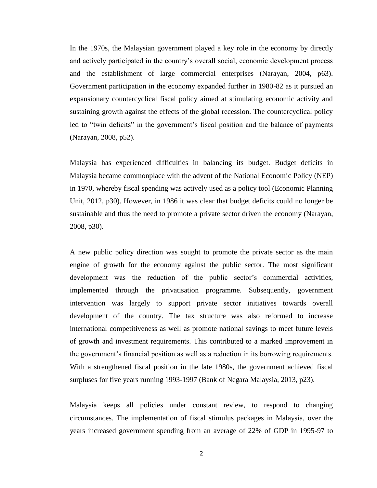In the 1970s, the Malaysian government played a key role in the economy by directly and actively participated in the country's overall social, economic development process and the establishment of large commercial enterprises (Narayan, 2004, p63). Government participation in the economy expanded further in 1980-82 as it pursued an expansionary countercyclical fiscal policy aimed at stimulating economic activity and sustaining growth against the effects of the global recession. The countercyclical policy led to "twin deficits" in the government's fiscal position and the balance of payments (Narayan, 2008, p52).

Malaysia has experienced difficulties in balancing its budget. Budget deficits in Malaysia became commonplace with the advent of the National Economic Policy (NEP) in 1970, whereby fiscal spending was actively used as a policy tool (Economic Planning Unit, 2012, p30). However, in 1986 it was clear that budget deficits could no longer be sustainable and thus the need to promote a private sector driven the economy (Narayan, 2008, p30).

A new public policy direction was sought to promote the private sector as the main engine of growth for the economy against the public sector. The most significant development was the reduction of the public sector's commercial activities, implemented through the privatisation programme. Subsequently, government intervention was largely to support private sector initiatives towards overall development of the country. The tax structure was also reformed to increase international competitiveness as well as promote national savings to meet future levels of growth and investment requirements. This contributed to a marked improvement in the government"s financial position as well as a reduction in its borrowing requirements. With a strengthened fiscal position in the late 1980s, the government achieved fiscal surpluses for five years running 1993-1997 (Bank of Negara Malaysia, 2013, p23).

Malaysia keeps all policies under constant review, to respond to changing circumstances. The implementation of fiscal stimulus packages in Malaysia, over the years increased government spending from an average of 22% of GDP in 1995-97 to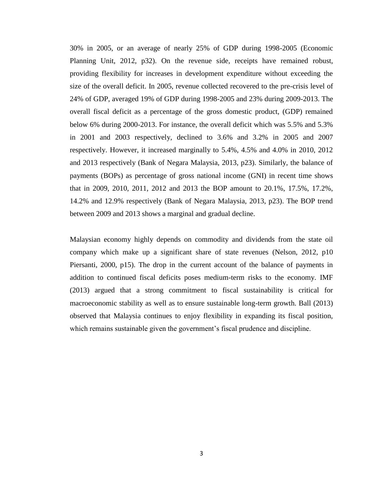30% in 2005, or an average of nearly 25% of GDP during 1998-2005 (Economic Planning Unit, 2012, p32). On the revenue side, receipts have remained robust, providing flexibility for increases in development expenditure without exceeding the size of the overall deficit. In 2005, revenue collected recovered to the pre-crisis level of 24% of GDP, averaged 19% of GDP during 1998-2005 and 23% during 2009-2013. The overall fiscal deficit as a percentage of the gross domestic product, (GDP) remained below 6% during 2000-2013. For instance, the overall deficit which was 5.5% and 5.3% in 2001 and 2003 respectively, declined to 3.6% and 3.2% in 2005 and 2007 respectively. However, it increased marginally to 5.4%, 4.5% and 4.0% in 2010, 2012 and 2013 respectively (Bank of Negara Malaysia, 2013, p23). Similarly, the balance of payments (BOPs) as percentage of gross national income (GNI) in recent time shows that in 2009, 2010, 2011, 2012 and 2013 the BOP amount to 20.1%, 17.5%, 17.2%, 14.2% and 12.9% respectively (Bank of Negara Malaysia, 2013, p23). The BOP trend between 2009 and 2013 shows a marginal and gradual decline.

Malaysian economy highly depends on commodity and dividends from the state oil company which make up a significant share of state revenues (Nelson, 2012, p10 Piersanti, 2000, p15). The drop in the current account of the balance of payments in addition to continued fiscal deficits poses medium-term risks to the economy. IMF (2013) argued that a strong commitment to fiscal sustainability is critical for macroeconomic stability as well as to ensure sustainable long-term growth. Ball (2013) observed that Malaysia continues to enjoy flexibility in expanding its fiscal position, which remains sustainable given the government's fiscal prudence and discipline.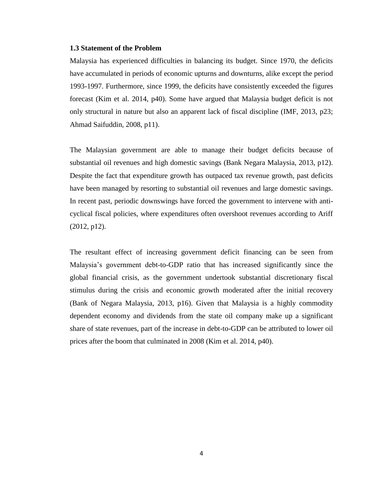#### <span id="page-17-0"></span>**1.3 Statement of the Problem**

Malaysia has experienced difficulties in balancing its budget. Since 1970, the deficits have accumulated in periods of economic upturns and downturns, alike except the period 1993-1997. Furthermore, since 1999, the deficits have consistently exceeded the figures forecast (Kim et al. 2014, p40). Some have argued that Malaysia budget deficit is not only structural in nature but also an apparent lack of fiscal discipline (IMF, 2013, p23; Ahmad Saifuddin, 2008, p11).

The Malaysian government are able to manage their budget deficits because of substantial oil revenues and high domestic savings (Bank Negara Malaysia, 2013, p12). Despite the fact that expenditure growth has outpaced tax revenue growth, past deficits have been managed by resorting to substantial oil revenues and large domestic savings. In recent past, periodic downswings have forced the government to intervene with anticyclical fiscal policies, where expenditures often overshoot revenues according to Ariff (2012, p12).

The resultant effect of increasing government deficit financing can be seen from Malaysia"s government debt-to-GDP ratio that has increased significantly since the global financial crisis, as the government undertook substantial discretionary fiscal stimulus during the crisis and economic growth moderated after the initial recovery (Bank of Negara Malaysia, 2013, p16). Given that Malaysia is a highly commodity dependent economy and dividends from the state oil company make up a significant share of state revenues, part of the increase in debt-to-GDP can be attributed to lower oil prices after the boom that culminated in 2008 (Kim et al. 2014, p40).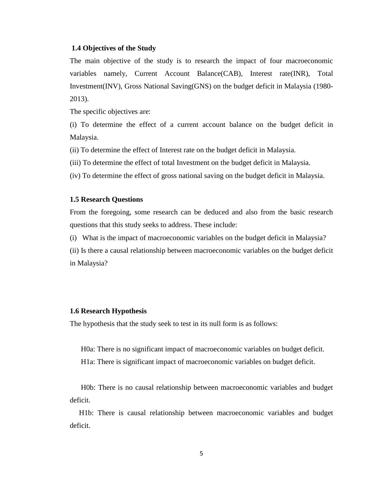#### <span id="page-18-0"></span>**1.4 Objectives of the Study**

The main objective of the study is to research the impact of four macroeconomic variables namely, Current Account Balance(CAB), Interest rate(INR), Total Investment(INV), Gross National Saving(GNS) on the budget deficit in Malaysia (1980- 2013).

The specific objectives are:

(i) To determine the effect of a current account balance on the budget deficit in Malaysia.

(ii) To determine the effect of Interest rate on the budget deficit in Malaysia.

(iii) To determine the effect of total Investment on the budget deficit in Malaysia.

<span id="page-18-1"></span>(iv) To determine the effect of gross national saving on the budget deficit in Malaysia.

#### **1.5 Research Questions**

From the foregoing, some research can be deduced and also from the basic research questions that this study seeks to address. These include:

(i) What is the impact of macroeconomic variables on the budget deficit in Malaysia?

(ii) Is there a causal relationship between macroeconomic variables on the budget deficit in Malaysia?

#### <span id="page-18-2"></span>**1.6 Research Hypothesis**

The hypothesis that the study seek to test in its null form is as follows:

H0a: There is no significant impact of macroeconomic variables on budget deficit.

H1a: There is significant impact of macroeconomic variables on budget deficit.

 H0b: There is no causal relationship between macroeconomic variables and budget deficit.

 H1b: There is causal relationship between macroeconomic variables and budget deficit.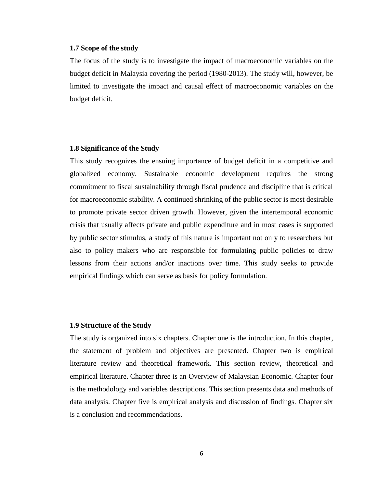#### <span id="page-19-0"></span>**1.7 Scope of the study**

The focus of the study is to investigate the impact of macroeconomic variables on the budget deficit in Malaysia covering the period (1980-2013). The study will, however, be limited to investigate the impact and causal effect of macroeconomic variables on the budget deficit.

#### <span id="page-19-1"></span>**1.8 Significance of the Study**

This study recognizes the ensuing importance of budget deficit in a competitive and globalized economy. Sustainable economic development requires the strong commitment to fiscal sustainability through fiscal prudence and discipline that is critical for macroeconomic stability. A continued shrinking of the public sector is most desirable to promote private sector driven growth. However, given the intertemporal economic crisis that usually affects private and public expenditure and in most cases is supported by public sector stimulus, a study of this nature is important not only to researchers but also to policy makers who are responsible for formulating public policies to draw lessons from their actions and/or inactions over time. This study seeks to provide empirical findings which can serve as basis for policy formulation.

#### <span id="page-19-2"></span>**1.9 Structure of the Study**

The study is organized into six chapters. Chapter one is the introduction. In this chapter, the statement of problem and objectives are presented. Chapter two is empirical literature review and theoretical framework. This section review, theoretical and empirical literature. Chapter three is an Overview of Malaysian Economic. Chapter four is the methodology and variables descriptions. This section presents data and methods of data analysis. Chapter five is empirical analysis and discussion of findings. Chapter six is a conclusion and recommendations.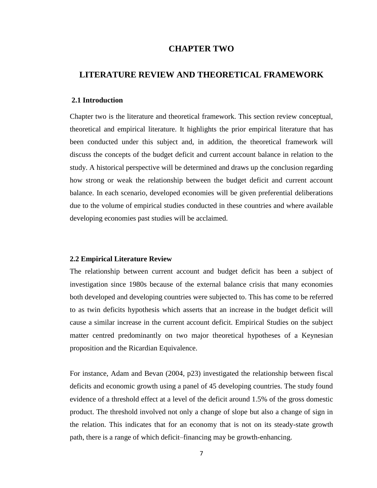# **CHAPTER TWO**

# <span id="page-20-1"></span><span id="page-20-0"></span>**LITERATURE REVIEW AND THEORETICAL FRAMEWORK**

#### <span id="page-20-2"></span>**2.1 Introduction**

Chapter two is the literature and theoretical framework. This section review conceptual, theoretical and empirical literature. It highlights the prior empirical literature that has been conducted under this subject and, in addition, the theoretical framework will discuss the concepts of the budget deficit and current account balance in relation to the study. A historical perspective will be determined and draws up the conclusion regarding how strong or weak the relationship between the budget deficit and current account balance. In each scenario, developed economies will be given preferential deliberations due to the volume of empirical studies conducted in these countries and where available developing economies past studies will be acclaimed.

#### <span id="page-20-3"></span>**2.2 Empirical Literature Review**

The relationship between current account and budget deficit has been a subject of investigation since 1980s because of the external balance crisis that many economies both developed and developing countries were subjected to. This has come to be referred to as twin deficits hypothesis which asserts that an increase in the budget deficit will cause a similar increase in the current account deficit. Empirical Studies on the subject matter centred predominantly on two major theoretical hypotheses of a Keynesian proposition and the Ricardian Equivalence.

For instance, Adam and Bevan (2004, p23) investigated the relationship between fiscal deficits and economic growth using a panel of 45 developing countries. The study found evidence of a threshold effect at a level of the deficit around 1.5% of the gross domestic product. The threshold involved not only a change of slope but also a change of sign in the relation. This indicates that for an economy that is not on its steady-state growth path, there is a range of which deficit–financing may be growth-enhancing.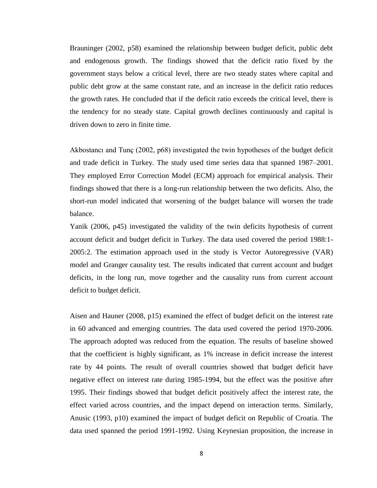Brauninger (2002, p58) examined the relationship between budget deficit, public debt and endogenous growth. The findings showed that the deficit ratio fixed by the government stays below a critical level, there are two steady states where capital and public debt grow at the same constant rate, and an increase in the deficit ratio reduces the growth rates. He concluded that if the deficit ratio exceeds the critical level, there is the tendency for no steady state. Capital growth declines continuously and capital is driven down to zero in finite time.

Akbostancı and Tunç (2002, p68) investigated the twin hypotheses of the budget deficit and trade deficit in Turkey. The study used time series data that spanned 1987–2001. They employed Error Correction Model (ECM) approach for empirical analysis. Their findings showed that there is a long-run relationship between the two deficits. Also, the short-run model indicated that worsening of the budget balance will worsen the trade balance.

Yanik (2006, p45) investigated the validity of the twin deficits hypothesis of current account deficit and budget deficit in Turkey. The data used covered the period 1988:1- 2005:2. The estimation approach used in the study is Vector Autoregressive (VAR) model and Granger causality test. The results indicated that current account and budget deficits, in the long run, move together and the causality runs from current account deficit to budget deficit.

Aisen and Hauner (2008, p15) examined the effect of budget deficit on the interest rate in 60 advanced and emerging countries. The data used covered the period 1970-2006. The approach adopted was reduced from the equation. The results of baseline showed that the coefficient is highly significant, as 1% increase in deficit increase the interest rate by 44 points. The result of overall countries showed that budget deficit have negative effect on interest rate during 1985-1994, but the effect was the positive after 1995. Their findings showed that budget deficit positively affect the interest rate, the effect varied across countries, and the impact depend on interaction terms. Similarly, Anusic (1993, p10) examined the impact of budget deficit on Republic of Croatia. The data used spanned the period 1991-1992. Using Keynesian proposition, the increase in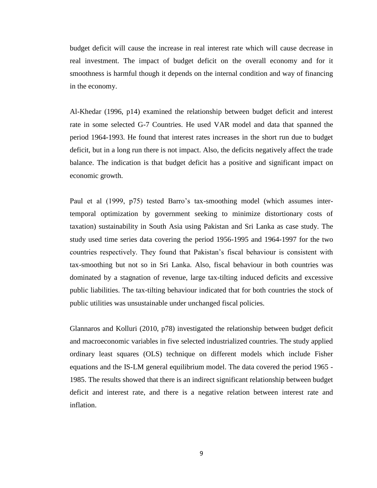budget deficit will cause the increase in real interest rate which will cause decrease in real investment. The impact of budget deficit on the overall economy and for it smoothness is harmful though it depends on the internal condition and way of financing in the economy.

Al-Khedar (1996, p14) examined the relationship between budget deficit and interest rate in some selected G-7 Countries. He used VAR model and data that spanned the period 1964-1993. He found that interest rates increases in the short run due to budget deficit, but in a long run there is not impact. Also, the deficits negatively affect the trade balance. The indication is that budget deficit has a positive and significant impact on economic growth.

Paul et al (1999, p75) tested Barro's tax-smoothing model (which assumes intertemporal optimization by government seeking to minimize distortionary costs of taxation) sustainability in South Asia using Pakistan and Sri Lanka as case study. The study used time series data covering the period 1956-1995 and 1964-1997 for the two countries respectively. They found that Pakistan"s fiscal behaviour is consistent with tax-smoothing but not so in Sri Lanka. Also, fiscal behaviour in both countries was dominated by a stagnation of revenue, large tax-tilting induced deficits and excessive public liabilities. The tax-tilting behaviour indicated that for both countries the stock of public utilities was unsustainable under unchanged fiscal policies.

Glannaros and Kolluri (2010, p78) investigated the relationship between budget deficit and macroeconomic variables in five selected industrialized countries. The study applied ordinary least squares (OLS) technique on different models which include Fisher equations and the IS-LM general equilibrium model. The data covered the period 1965 - 1985. The results showed that there is an indirect significant relationship between budget deficit and interest rate, and there is a negative relation between interest rate and inflation.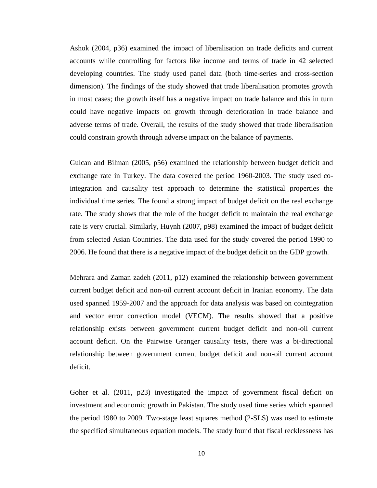Ashok (2004, p36) examined the impact of liberalisation on trade deficits and current accounts while controlling for factors like income and terms of trade in 42 selected developing countries. The study used panel data (both time-series and cross-section dimension). The findings of the study showed that trade liberalisation promotes growth in most cases; the growth itself has a negative impact on trade balance and this in turn could have negative impacts on growth through deterioration in trade balance and adverse terms of trade. Overall, the results of the study showed that trade liberalisation could constrain growth through adverse impact on the balance of payments.

Gulcan and Bilman (2005, p56) examined the relationship between budget deficit and exchange rate in Turkey. The data covered the period 1960-2003. The study used cointegration and causality test approach to determine the statistical properties the individual time series. The found a strong impact of budget deficit on the real exchange rate. The study shows that the role of the budget deficit to maintain the real exchange rate is very crucial. Similarly, Huynh (2007, p98) examined the impact of budget deficit from selected Asian Countries. The data used for the study covered the period 1990 to 2006. He found that there is a negative impact of the budget deficit on the GDP growth.

Mehrara and Zaman zadeh (2011, p12) examined the relationship between government current budget deficit and non-oil current account deficit in Iranian economy. The data used spanned 1959-2007 and the approach for data analysis was based on cointegration and vector error correction model (VECM). The results showed that a positive relationship exists between government current budget deficit and non-oil current account deficit. On the Pairwise Granger causality tests, there was a bi-directional relationship between government current budget deficit and non-oil current account deficit.

Goher et al. (2011, p23) investigated the impact of government fiscal deficit on investment and economic growth in Pakistan. The study used time series which spanned the period 1980 to 2009. Two-stage least squares method (2-SLS) was used to estimate the specified simultaneous equation models. The study found that fiscal recklessness has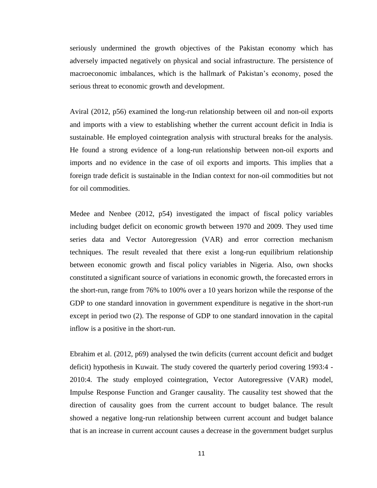seriously undermined the growth objectives of the Pakistan economy which has adversely impacted negatively on physical and social infrastructure. The persistence of macroeconomic imbalances, which is the hallmark of Pakistan"s economy, posed the serious threat to economic growth and development.

Aviral (2012, p56) examined the long-run relationship between oil and non-oil exports and imports with a view to establishing whether the current account deficit in India is sustainable. He employed cointegration analysis with structural breaks for the analysis. He found a strong evidence of a long-run relationship between non-oil exports and imports and no evidence in the case of oil exports and imports. This implies that a foreign trade deficit is sustainable in the Indian context for non-oil commodities but not for oil commodities.

Medee and Nenbee (2012, p54) investigated the impact of fiscal policy variables including budget deficit on economic growth between 1970 and 2009. They used time series data and Vector Autoregression (VAR) and error correction mechanism techniques. The result revealed that there exist a long-run equilibrium relationship between economic growth and fiscal policy variables in Nigeria. Also, own shocks constituted a significant source of variations in economic growth, the forecasted errors in the short-run, range from 76% to 100% over a 10 years horizon while the response of the GDP to one standard innovation in government expenditure is negative in the short-run except in period two (2). The response of GDP to one standard innovation in the capital inflow is a positive in the short-run.

Ebrahim et al. (2012, p69) analysed the twin deficits (current account deficit and budget deficit) hypothesis in Kuwait. The study covered the quarterly period covering 1993:4 - 2010:4. The study employed cointegration, Vector Autoregressive (VAR) model, Impulse Response Function and Granger causality. The causality test showed that the direction of causality goes from the current account to budget balance. The result showed a negative long-run relationship between current account and budget balance that is an increase in current account causes a decrease in the government budget surplus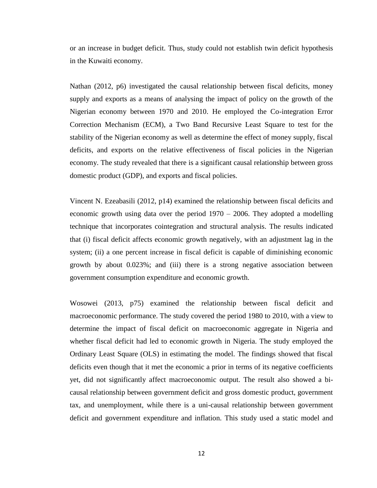or an increase in budget deficit. Thus, study could not establish twin deficit hypothesis in the Kuwaiti economy.

Nathan (2012, p6) investigated the causal relationship between fiscal deficits, money supply and exports as a means of analysing the impact of policy on the growth of the Nigerian economy between 1970 and 2010. He employed the Co-integration Error Correction Mechanism (ECM), a Two Band Recursive Least Square to test for the stability of the Nigerian economy as well as determine the effect of money supply, fiscal deficits, and exports on the relative effectiveness of fiscal policies in the Nigerian economy. The study revealed that there is a significant causal relationship between gross domestic product (GDP), and exports and fiscal policies.

Vincent N. Ezeabasili (2012, p14) examined the relationship between fiscal deficits and economic growth using data over the period 1970 – 2006. They adopted a modelling technique that incorporates cointegration and structural analysis. The results indicated that (i) fiscal deficit affects economic growth negatively, with an adjustment lag in the system; (ii) a one percent increase in fiscal deficit is capable of diminishing economic growth by about 0.023%; and (iii) there is a strong negative association between government consumption expenditure and economic growth.

Wosowei (2013, p75) examined the relationship between fiscal deficit and macroeconomic performance. The study covered the period 1980 to 2010, with a view to determine the impact of fiscal deficit on macroeconomic aggregate in Nigeria and whether fiscal deficit had led to economic growth in Nigeria. The study employed the Ordinary Least Square (OLS) in estimating the model. The findings showed that fiscal deficits even though that it met the economic a prior in terms of its negative coefficients yet, did not significantly affect macroeconomic output. The result also showed a bicausal relationship between government deficit and gross domestic product, government tax, and unemployment, while there is a uni-causal relationship between government deficit and government expenditure and inflation. This study used a static model and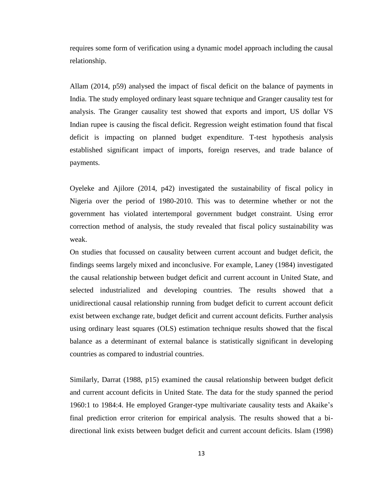requires some form of verification using a dynamic model approach including the causal relationship.

Allam (2014, p59) analysed the impact of fiscal deficit on the balance of payments in India. The study employed ordinary least square technique and Granger causality test for analysis. The Granger causality test showed that exports and import, US dollar VS Indian rupee is causing the fiscal deficit. Regression weight estimation found that fiscal deficit is impacting on planned budget expenditure. T-test hypothesis analysis established significant impact of imports, foreign reserves, and trade balance of payments.

Oyeleke and Ajilore (2014, p42) investigated the sustainability of fiscal policy in Nigeria over the period of 1980-2010. This was to determine whether or not the government has violated intertemporal government budget constraint. Using error correction method of analysis, the study revealed that fiscal policy sustainability was weak.

On studies that focussed on causality between current account and budget deficit, the findings seems largely mixed and inconclusive. For example, Laney (1984) investigated the causal relationship between budget deficit and current account in United State, and selected industrialized and developing countries. The results showed that a unidirectional causal relationship running from budget deficit to current account deficit exist between exchange rate, budget deficit and current account deficits. Further analysis using ordinary least squares (OLS) estimation technique results showed that the fiscal balance as a determinant of external balance is statistically significant in developing countries as compared to industrial countries.

Similarly, Darrat (1988, p15) examined the causal relationship between budget deficit and current account deficits in United State. The data for the study spanned the period 1960:1 to 1984:4. He employed Granger-type multivariate causality tests and Akaike"s final prediction error criterion for empirical analysis. The results showed that a bidirectional link exists between budget deficit and current account deficits. Islam (1998)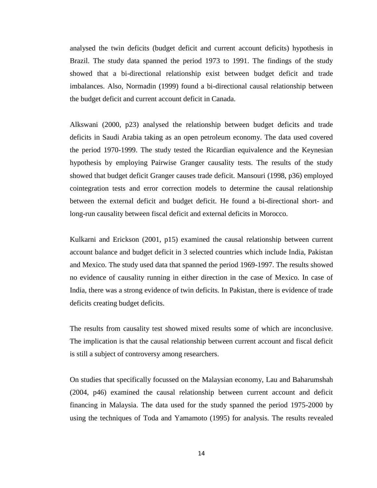analysed the twin deficits (budget deficit and current account deficits) hypothesis in Brazil. The study data spanned the period 1973 to 1991. The findings of the study showed that a bi-directional relationship exist between budget deficit and trade imbalances. Also, Normadin (1999) found a bi-directional causal relationship between the budget deficit and current account deficit in Canada.

Alkswani (2000, p23) analysed the relationship between budget deficits and trade deficits in Saudi Arabia taking as an open petroleum economy. The data used covered the period 1970-1999. The study tested the Ricardian equivalence and the Keynesian hypothesis by employing Pairwise Granger causality tests. The results of the study showed that budget deficit Granger causes trade deficit. Mansouri (1998, p36) employed cointegration tests and error correction models to determine the causal relationship between the external deficit and budget deficit. He found a bi-directional short- and long-run causality between fiscal deficit and external deficits in Morocco.

Kulkarni and Erickson (2001, p15) examined the causal relationship between current account balance and budget deficit in 3 selected countries which include India, Pakistan and Mexico. The study used data that spanned the period 1969-1997. The results showed no evidence of causality running in either direction in the case of Mexico. In case of India, there was a strong evidence of twin deficits. In Pakistan, there is evidence of trade deficits creating budget deficits.

The results from causality test showed mixed results some of which are inconclusive. The implication is that the causal relationship between current account and fiscal deficit is still a subject of controversy among researchers.

On studies that specifically focussed on the Malaysian economy, Lau and Baharumshah (2004, p46) examined the causal relationship between current account and deficit financing in Malaysia. The data used for the study spanned the period 1975-2000 by using the techniques of Toda and Yamamoto (1995) for analysis. The results revealed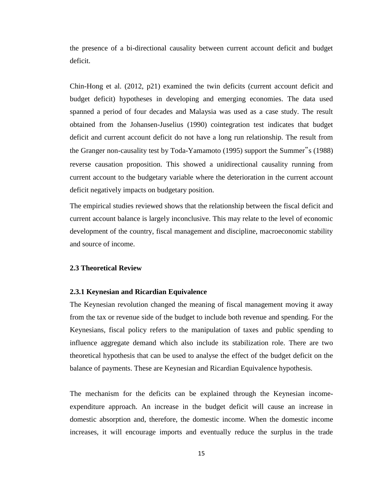the presence of a bi-directional causality between current account deficit and budget deficit.

Chin-Hong et al. (2012, p21) examined the twin deficits (current account deficit and budget deficit) hypotheses in developing and emerging economies. The data used spanned a period of four decades and Malaysia was used as a case study. The result obtained from the Johansen-Juselius (1990) cointegration test indicates that budget deficit and current account deficit do not have a long run relationship. The result from the Granger non-causality test by Toda-Yamamoto (1995) support the Summer"s (1988) reverse causation proposition. This showed a unidirectional causality running from current account to the budgetary variable where the deterioration in the current account deficit negatively impacts on budgetary position.

The empirical studies reviewed shows that the relationship between the fiscal deficit and current account balance is largely inconclusive. This may relate to the level of economic development of the country, fiscal management and discipline, macroeconomic stability and source of income.

#### <span id="page-28-1"></span><span id="page-28-0"></span>**2.3 Theoretical Review**

#### **2.3.1 Keynesian and Ricardian Equivalence**

The Keynesian revolution changed the meaning of fiscal management moving it away from the tax or revenue side of the budget to include both revenue and spending. For the Keynesians, fiscal policy refers to the manipulation of taxes and public spending to influence aggregate demand which also include its stabilization role. There are two theoretical hypothesis that can be used to analyse the effect of the budget deficit on the balance of payments. These are Keynesian and Ricardian Equivalence hypothesis.

The mechanism for the deficits can be explained through the Keynesian incomeexpenditure approach. An increase in the budget deficit will cause an increase in domestic absorption and, therefore, the domestic income. When the domestic income increases, it will encourage imports and eventually reduce the surplus in the trade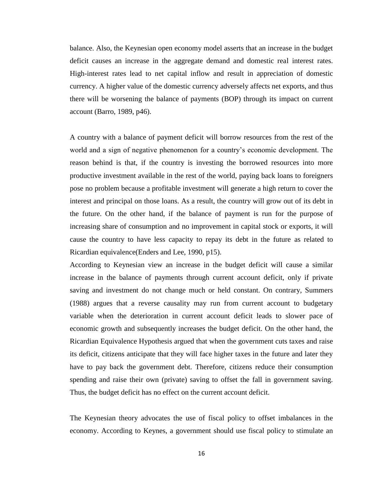balance. Also, the Keynesian open economy model asserts that an increase in the budget deficit causes an increase in the aggregate demand and domestic real interest rates. High-interest rates lead to net capital inflow and result in appreciation of domestic currency. A higher value of the domestic currency adversely affects net exports, and thus there will be worsening the balance of payments (BOP) through its impact on current account (Barro, 1989, p46).

A country with a balance of payment deficit will borrow resources from the rest of the world and a sign of negative phenomenon for a country"s economic development. The reason behind is that, if the country is investing the borrowed resources into more productive investment available in the rest of the world, paying back loans to foreigners pose no problem because a profitable investment will generate a high return to cover the interest and principal on those loans. As a result, the country will grow out of its debt in the future. On the other hand, if the balance of payment is run for the purpose of increasing share of consumption and no improvement in capital stock or exports, it will cause the country to have less capacity to repay its debt in the future as related to Ricardian equivalence(Enders and Lee, 1990, p15).

According to Keynesian view an increase in the budget deficit will cause a similar increase in the balance of payments through current account deficit, only if private saving and investment do not change much or held constant. On contrary, Summers (1988) argues that a reverse causality may run from current account to budgetary variable when the deterioration in current account deficit leads to slower pace of economic growth and subsequently increases the budget deficit. On the other hand, the Ricardian Equivalence Hypothesis argued that when the government cuts taxes and raise its deficit, citizens anticipate that they will face higher taxes in the future and later they have to pay back the government debt. Therefore, citizens reduce their consumption spending and raise their own (private) saving to offset the fall in government saving. Thus, the budget deficit has no effect on the current account deficit.

The Keynesian theory advocates the use of fiscal policy to offset imbalances in the economy. According to Keynes, a government should use fiscal policy to stimulate an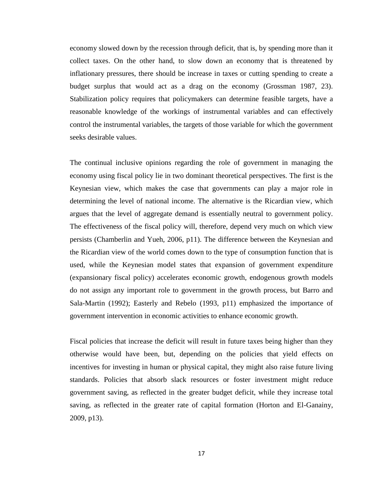economy slowed down by the recession through deficit, that is, by spending more than it collect taxes. On the other hand, to slow down an economy that is threatened by inflationary pressures, there should be increase in taxes or cutting spending to create a budget surplus that would act as a drag on the economy (Grossman 1987, 23). Stabilization policy requires that policymakers can determine feasible targets, have a reasonable knowledge of the workings of instrumental variables and can effectively control the instrumental variables, the targets of those variable for which the government seeks desirable values.

The continual inclusive opinions regarding the role of government in managing the economy using fiscal policy lie in two dominant theoretical perspectives. The first is the Keynesian view, which makes the case that governments can play a major role in determining the level of national income. The alternative is the Ricardian view, which argues that the level of aggregate demand is essentially neutral to government policy. The effectiveness of the fiscal policy will, therefore, depend very much on which view persists (Chamberlin and Yueh, 2006, p11). The difference between the Keynesian and the Ricardian view of the world comes down to the type of consumption function that is used, while the Keynesian model states that expansion of government expenditure (expansionary fiscal policy) accelerates economic growth, endogenous growth models do not assign any important role to government in the growth process, but Barro and Sala-Martin (1992); Easterly and Rebelo (1993, p11) emphasized the importance of government intervention in economic activities to enhance economic growth.

Fiscal policies that increase the deficit will result in future taxes being higher than they otherwise would have been, but, depending on the policies that yield effects on incentives for investing in human or physical capital, they might also raise future living standards. Policies that absorb slack resources or foster investment might reduce government saving, as reflected in the greater budget deficit, while they increase total saving, as reflected in the greater rate of capital formation (Horton and El-Ganainy, 2009, p13).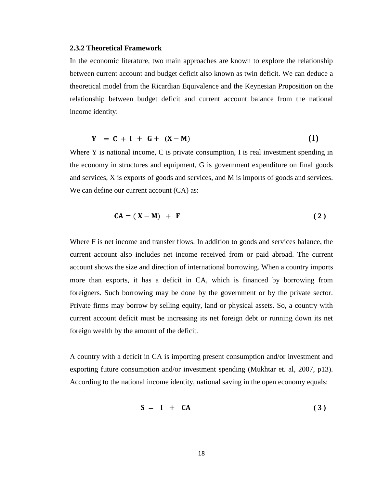#### <span id="page-31-0"></span>**2.3.2 Theoretical Framework**

In the economic literature, two main approaches are known to explore the relationship between current account and budget deficit also known as twin deficit. We can deduce a theoretical model from the Ricardian Equivalence and the Keynesian Proposition on the relationship between budget deficit and current account balance from the national income identity:

$$
Y = C + I + G + (X - M) \tag{1}
$$

Where Y is national income, C is private consumption, I is real investment spending in the economy in structures and equipment, G is government expenditure on final goods and services, X is exports of goods and services, and M is imports of goods and services. We can define our current account  $(CA)$  as:

$$
CA = (X - M) + F
$$
 (2)

Where F is net income and transfer flows. In addition to goods and services balance, the current account also includes net income received from or paid abroad. The current account shows the size and direction of international borrowing. When a country imports more than exports, it has a deficit in CA, which is financed by borrowing from foreigners. Such borrowing may be done by the government or by the private sector. Private firms may borrow by selling equity, land or physical assets. So, a country with current account deficit must be increasing its net foreign debt or running down its net foreign wealth by the amount of the deficit.

A country with a deficit in CA is importing present consumption and/or investment and exporting future consumption and/or investment spending (Mukhtar et. al, 2007, p13). According to the national income identity, national saving in the open economy equals:

$$
S = I + CA \tag{3}
$$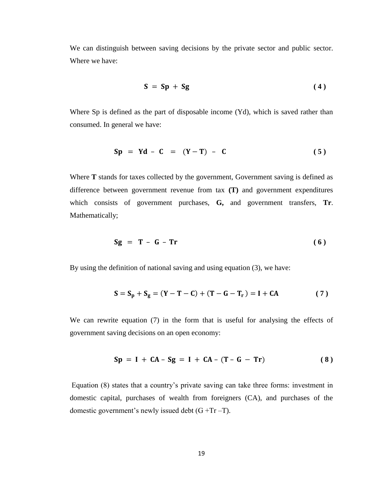We can distinguish between saving decisions by the private sector and public sector. Where we have:

$$
S = Sp + Sg \tag{4}
$$

Where Sp is defined as the part of disposable income (Yd), which is saved rather than consumed. In general we have:

$$
Sp = Yd - C = (Y - T) - C \tag{5}
$$

Where **T** stands for taxes collected by the government, Government saving is defined as difference between government revenue from tax **(T)** and government expenditures which consists of government purchases, **G,** and government transfers, **Tr**. Mathematically;

$$
Sg = T - G - Tr \tag{6}
$$

By using the definition of national saving and using equation (3), we have:

$$
S = S_p + S_g = (Y - T - C) + (T - G - T_r) = I + CA
$$
 (7)

We can rewrite equation (7) in the form that is useful for analysing the effects of government saving decisions on an open economy:

$$
Sp = I + CA - Sg = I + CA - (T - G - Tr)
$$
 (8)

Equation (8) states that a country"s private saving can take three forms: investment in domestic capital, purchases of wealth from foreigners (CA), and purchases of the domestic government's newly issued debt  $(G + Tr -T)$ .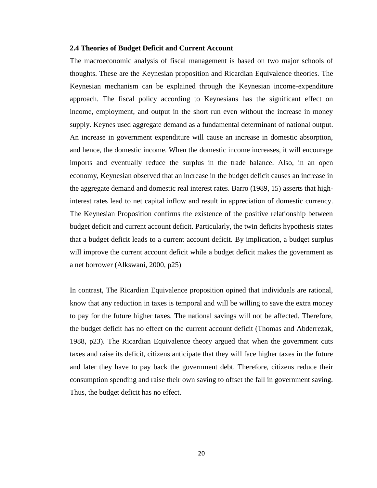#### <span id="page-33-0"></span>**2.4 Theories of Budget Deficit and Current Account**

The macroeconomic analysis of fiscal management is based on two major schools of thoughts. These are the Keynesian proposition and Ricardian Equivalence theories. The Keynesian mechanism can be explained through the Keynesian income-expenditure approach. The fiscal policy according to Keynesians has the significant effect on income, employment, and output in the short run even without the increase in money supply. Keynes used aggregate demand as a fundamental determinant of national output. An increase in government expenditure will cause an increase in domestic absorption, and hence, the domestic income. When the domestic income increases, it will encourage imports and eventually reduce the surplus in the trade balance. Also, in an open economy, Keynesian observed that an increase in the budget deficit causes an increase in the aggregate demand and domestic real interest rates. Barro (1989, 15) asserts that highinterest rates lead to net capital inflow and result in appreciation of domestic currency. The Keynesian Proposition confirms the existence of the positive relationship between budget deficit and current account deficit. Particularly, the twin deficits hypothesis states that a budget deficit leads to a current account deficit. By implication, a budget surplus will improve the current account deficit while a budget deficit makes the government as a net borrower (Alkswani, 2000, p25)

In contrast, The Ricardian Equivalence proposition opined that individuals are rational, know that any reduction in taxes is temporal and will be willing to save the extra money to pay for the future higher taxes. The national savings will not be affected. Therefore, the budget deficit has no effect on the current account deficit (Thomas and Abderrezak, 1988, p23). The Ricardian Equivalence theory argued that when the government cuts taxes and raise its deficit, citizens anticipate that they will face higher taxes in the future and later they have to pay back the government debt. Therefore, citizens reduce their consumption spending and raise their own saving to offset the fall in government saving. Thus, the budget deficit has no effect.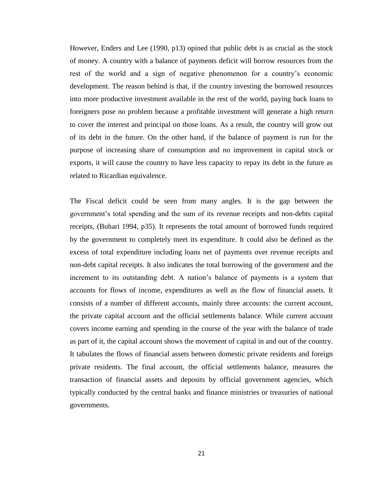However, Enders and Lee (1990, p13) opined that public debt is as crucial as the stock of money. A country with a balance of payments deficit will borrow resources from the rest of the world and a sign of negative phenomenon for a country"s economic development. The reason behind is that, if the country investing the borrowed resources into more productive investment available in the rest of the world, paying back loans to foreigners pose no problem because a profitable investment will generate a high return to cover the interest and principal on those loans. As a result, the country will grow out of its debt in the future. On the other hand, if the balance of payment is run for the purpose of increasing share of consumption and no improvement in capital stock or exports, it will cause the country to have less capacity to repay its debt in the future as related to Ricardian equivalence.

The Fiscal deficit could be seen from many angles. It is the gap between the government"s total spending and the sum of its revenue receipts and non-debts capital receipts, (Buhari 1994, p35). It represents the total amount of borrowed funds required by the government to completely meet its expenditure. It could also be defined as the excess of total expenditure including loans net of payments over revenue receipts and non-debt capital receipts. It also indicates the total borrowing of the government and the increment to its outstanding debt. A nation's balance of payments is a system that accounts for flows of income, expenditures as well as the flow of financial assets. It consists of a number of different accounts, mainly three accounts: the current account, the private capital account and the official settlements balance. While current account covers income earning and spending in the course of the year with the balance of trade as part of it, the capital account shows the movement of capital in and out of the country. It tabulates the flows of financial assets between domestic private residents and foreign private residents. The final account, the official settlements balance, measures the transaction of financial assets and deposits by official government agencies, which typically conducted by the central banks and finance ministries or treasuries of national governments.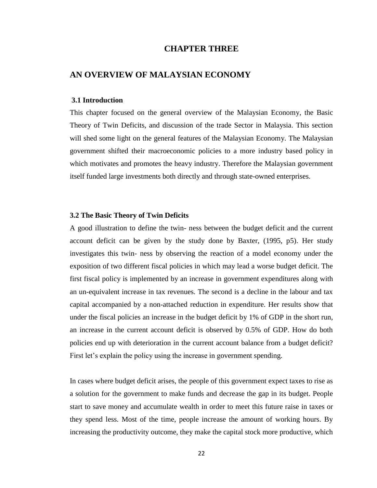# **CHAPTER THREE**

# <span id="page-35-1"></span><span id="page-35-0"></span>**AN OVERVIEW OF MALAYSIAN ECONOMY**

#### <span id="page-35-2"></span>**3.1 Introduction**

This chapter focused on the general overview of the Malaysian Economy, the Basic Theory of Twin Deficits, and discussion of the trade Sector in Malaysia. This section will shed some light on the general features of the Malaysian Economy. The Malaysian government shifted their macroeconomic policies to a more industry based policy in which motivates and promotes the heavy industry. Therefore the Malaysian government itself funded large investments both directly and through state-owned enterprises.

#### <span id="page-35-3"></span>**3.2 The Basic Theory of Twin Deficits**

A good illustration to define the twin- ness between the budget deficit and the current account deficit can be given by the study done by Baxter, (1995, p5). Her study investigates this twin- ness by observing the reaction of a model economy under the exposition of two different fiscal policies in which may lead a worse budget deficit. The first fiscal policy is implemented by an increase in government expenditures along with an un-equivalent increase in tax revenues. The second is a decline in the labour and tax capital accompanied by a non-attached reduction in expenditure. Her results show that under the fiscal policies an increase in the budget deficit by 1% of GDP in the short run, an increase in the current account deficit is observed by 0.5% of GDP. How do both policies end up with deterioration in the current account balance from a budget deficit? First let's explain the policy using the increase in government spending.

In cases where budget deficit arises, the people of this government expect taxes to rise as a solution for the government to make funds and decrease the gap in its budget. People start to save money and accumulate wealth in order to meet this future raise in taxes or they spend less. Most of the time, people increase the amount of working hours. By increasing the productivity outcome, they make the capital stock more productive, which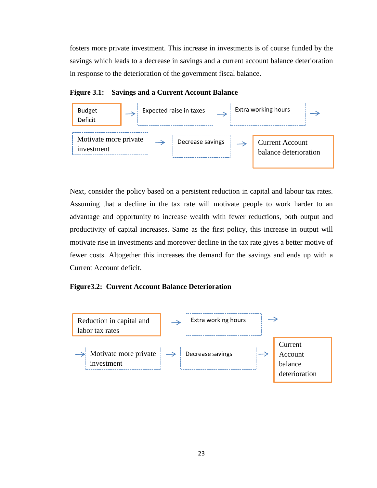fosters more private investment. This increase in investments is of course funded by the savings which leads to a decrease in savings and a current account balance deterioration in response to the deterioration of the government fiscal balance.





Next, consider the policy based on a persistent reduction in capital and labour tax rates. Assuming that a decline in the tax rate will motivate people to work harder to an advantage and opportunity to increase wealth with fewer reductions, both output and productivity of capital increases. Same as the first policy, this increase in output will motivate rise in investments and moreover decline in the tax rate gives a better motive of fewer costs. Altogether this increases the demand for the savings and ends up with a Current Account deficit.

## **Figure3.2: Current Account Balance Deterioration**

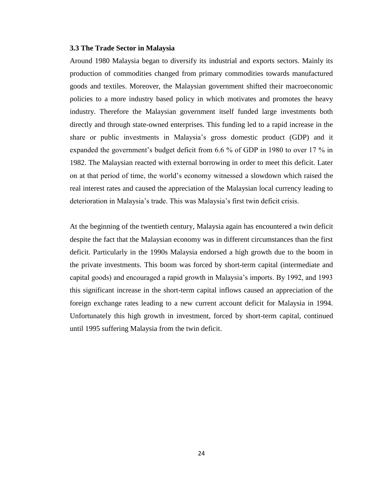#### **3.3 The Trade Sector in Malaysia**

Around 1980 Malaysia began to diversify its industrial and exports sectors. Mainly its production of commodities changed from primary commodities towards manufactured goods and textiles. Moreover, the Malaysian government shifted their macroeconomic policies to a more industry based policy in which motivates and promotes the heavy industry. Therefore the Malaysian government itself funded large investments both directly and through state-owned enterprises. This funding led to a rapid increase in the share or public investments in Malaysia"s gross domestic product (GDP) and it expanded the government's budget deficit from 6.6 % of GDP in 1980 to over 17 % in 1982. The Malaysian reacted with external borrowing in order to meet this deficit. Later on at that period of time, the world"s economy witnessed a slowdown which raised the real interest rates and caused the appreciation of the Malaysian local currency leading to deterioration in Malaysia"s trade. This was Malaysia"s first twin deficit crisis.

At the beginning of the twentieth century, Malaysia again has encountered a twin deficit despite the fact that the Malaysian economy was in different circumstances than the first deficit. Particularly in the 1990s Malaysia endorsed a high growth due to the boom in the private investments. This boom was forced by short-term capital (intermediate and capital goods) and encouraged a rapid growth in Malaysia"s imports. By 1992, and 1993 this significant increase in the short-term capital inflows caused an appreciation of the foreign exchange rates leading to a new current account deficit for Malaysia in 1994. Unfortunately this high growth in investment, forced by short-term capital, continued until 1995 suffering Malaysia from the twin deficit.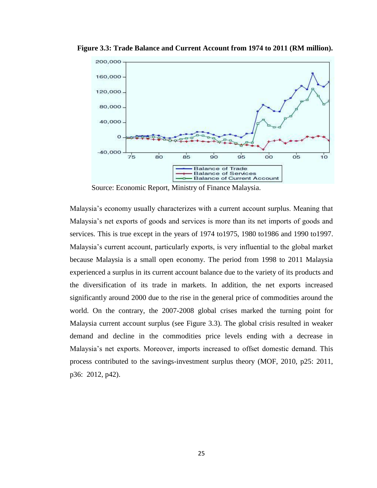

 **Figure 3.3: Trade Balance and Current Account from 1974 to 2011 (RM million).**

Source: Economic Report, Ministry of Finance Malaysia.

Malaysia"s economy usually characterizes with a current account surplus. Meaning that Malaysia"s net exports of goods and services is more than its net imports of goods and services. This is true except in the years of 1974 to1975, 1980 to1986 and 1990 to1997. Malaysia"s current account, particularly exports, is very influential to the global market because Malaysia is a small open economy. The period from 1998 to 2011 Malaysia experienced a surplus in its current account balance due to the variety of its products and the diversification of its trade in markets. In addition, the net exports increased significantly around 2000 due to the rise in the general price of commodities around the world. On the contrary, the 2007-2008 global crises marked the turning point for Malaysia current account surplus (see Figure 3.3). The global crisis resulted in weaker demand and decline in the commodities price levels ending with a decrease in Malaysia"s net exports. Moreover, imports increased to offset domestic demand. This process contributed to the savings-investment surplus theory (MOF, 2010, p25: 2011, p36: 2012, p42).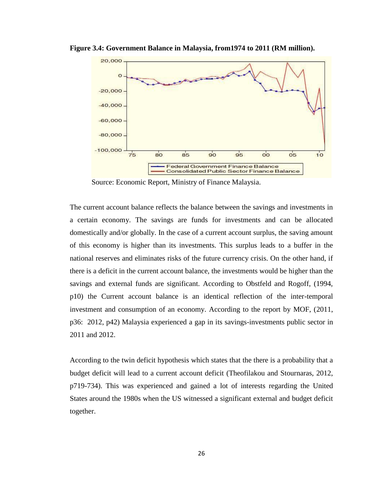

**Figure 3.4: Government Balance in Malaysia, from1974 to 2011 (RM million).**

Source: Economic Report, Ministry of Finance Malaysia.

The current account balance reflects the balance between the savings and investments in a certain economy. The savings are funds for investments and can be allocated domestically and/or globally. In the case of a current account surplus, the saving amount of this economy is higher than its investments. This surplus leads to a buffer in the national reserves and eliminates risks of the future currency crisis. On the other hand, if there is a deficit in the current account balance, the investments would be higher than the savings and external funds are significant. According to Obstfeld and Rogoff, (1994, p10) the Current account balance is an identical reflection of the inter-temporal investment and consumption of an economy. According to the report by MOF, (2011, p36: 2012, p42) Malaysia experienced a gap in its savings-investments public sector in 2011 and 2012.

According to the twin deficit hypothesis which states that the there is a probability that a budget deficit will lead to a current account deficit (Theofilakou and Stournaras, 2012, p719-734). This was experienced and gained a lot of interests regarding the United States around the 1980s when the US witnessed a significant external and budget deficit together.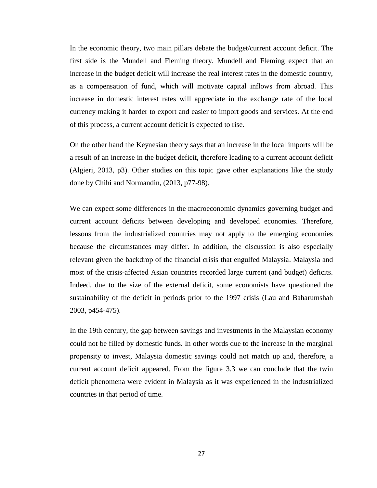In the economic theory, two main pillars debate the budget/current account deficit. The first side is the Mundell and Fleming theory. Mundell and Fleming expect that an increase in the budget deficit will increase the real interest rates in the domestic country, as a compensation of fund, which will motivate capital inflows from abroad. This increase in domestic interest rates will appreciate in the exchange rate of the local currency making it harder to export and easier to import goods and services. At the end of this process, a current account deficit is expected to rise.

On the other hand the Keynesian theory says that an increase in the local imports will be a result of an increase in the budget deficit, therefore leading to a current account deficit (Algieri, 2013, p3). Other studies on this topic gave other explanations like the study done by Chihi and Normandin, (2013, p77-98).

We can expect some differences in the macroeconomic dynamics governing budget and current account deficits between developing and developed economies. Therefore, lessons from the industrialized countries may not apply to the emerging economies because the circumstances may differ. In addition, the discussion is also especially relevant given the backdrop of the financial crisis that engulfed Malaysia. Malaysia and most of the crisis-affected Asian countries recorded large current (and budget) deficits. Indeed, due to the size of the external deficit, some economists have questioned the sustainability of the deficit in periods prior to the 1997 crisis (Lau and Baharumshah 2003, p454-475).

In the 19th century, the gap between savings and investments in the Malaysian economy could not be filled by domestic funds. In other words due to the increase in the marginal propensity to invest, Malaysia domestic savings could not match up and, therefore, a current account deficit appeared. From the figure 3.3 we can conclude that the twin deficit phenomena were evident in Malaysia as it was experienced in the industrialized countries in that period of time.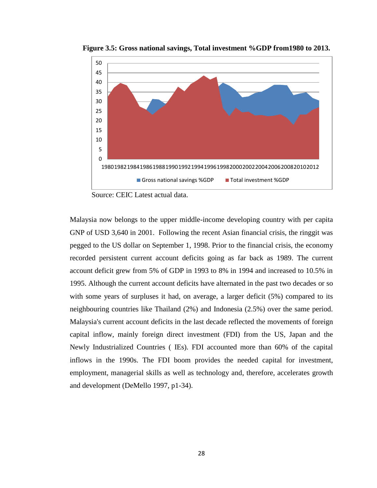

 **Figure 3.5: Gross national savings, Total investment %GDP from1980 to 2013.**

Source: CEIC Latest actual data.

Malaysia now belongs to the upper middle-income developing country with per capita GNP of USD 3,640 in 2001. Following the recent Asian financial crisis, the ringgit was pegged to the US dollar on September 1, 1998. Prior to the financial crisis, the economy recorded persistent current account deficits going as far back as 1989. The current account deficit grew from 5% of GDP in 1993 to 8% in 1994 and increased to 10.5% in 1995. Although the current account deficits have alternated in the past two decades or so with some years of surpluses it had, on average, a larger deficit (5%) compared to its neighbouring countries like Thailand (2%) and Indonesia (2.5%) over the same period. Malaysia's current account deficits in the last decade reflected the movements of foreign capital inflow, mainly foreign direct investment (FDI) from the US, Japan and the Newly Industrialized Countries ( IEs). FDI accounted more than 60% of the capital inflows in the 1990s. The FDI boom provides the needed capital for investment, employment, managerial skills as well as technology and, therefore, accelerates growth and development (DeMello 1997, p1-34).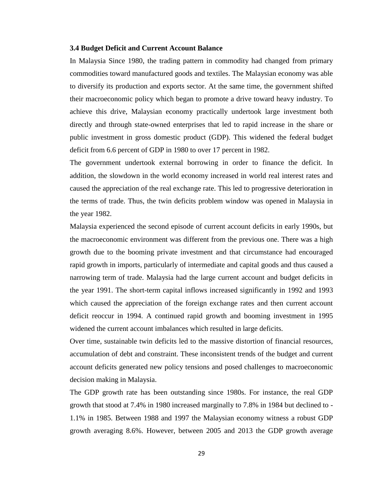#### **3.4 Budget Deficit and Current Account Balance**

In Malaysia Since 1980, the trading pattern in commodity had changed from primary commodities toward manufactured goods and textiles. The Malaysian economy was able to diversify its production and exports sector. At the same time, the government shifted their macroeconomic policy which began to promote a drive toward heavy industry. To achieve this drive, Malaysian economy practically undertook large investment both directly and through state-owned enterprises that led to rapid increase in the share or public investment in gross domestic product (GDP). This widened the federal budget deficit from 6.6 percent of GDP in 1980 to over 17 percent in 1982.

The government undertook external borrowing in order to finance the deficit. In addition, the slowdown in the world economy increased in world real interest rates and caused the appreciation of the real exchange rate. This led to progressive deterioration in the terms of trade. Thus, the twin deficits problem window was opened in Malaysia in the year 1982.

Malaysia experienced the second episode of current account deficits in early 1990s, but the macroeconomic environment was different from the previous one. There was a high growth due to the booming private investment and that circumstance had encouraged rapid growth in imports, particularly of intermediate and capital goods and thus caused a narrowing term of trade. Malaysia had the large current account and budget deficits in the year 1991. The short-term capital inflows increased significantly in 1992 and 1993 which caused the appreciation of the foreign exchange rates and then current account deficit reoccur in 1994. A continued rapid growth and booming investment in 1995 widened the current account imbalances which resulted in large deficits.

Over time, sustainable twin deficits led to the massive distortion of financial resources, accumulation of debt and constraint. These inconsistent trends of the budget and current account deficits generated new policy tensions and posed challenges to macroeconomic decision making in Malaysia.

The GDP growth rate has been outstanding since 1980s. For instance, the real GDP growth that stood at 7.4% in 1980 increased marginally to 7.8% in 1984 but declined to - 1.1% in 1985. Between 1988 and 1997 the Malaysian economy witness a robust GDP growth averaging 8.6%. However, between 2005 and 2013 the GDP growth average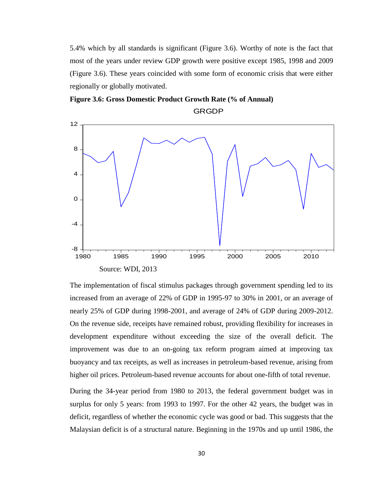5.4% which by all standards is significant (Figure 3.6). Worthy of note is the fact that most of the years under review GDP growth were positive except 1985, 1998 and 2009 (Figure 3.6). These years coincided with some form of economic crisis that were either regionally or globally motivated.





The implementation of fiscal stimulus packages through government spending led to its increased from an average of 22% of GDP in 1995-97 to 30% in 2001, or an average of nearly 25% of GDP during 1998-2001, and average of 24% of GDP during 2009-2012. On the revenue side, receipts have remained robust, providing flexibility for increases in development expenditure without exceeding the size of the overall deficit. The improvement was due to an on-going tax reform program aimed at improving tax buoyancy and tax receipts, as well as increases in petroleum-based revenue, arising from higher oil prices. Petroleum-based revenue accounts for about one-fifth of total revenue.

During the 34-year period from 1980 to 2013, the federal government budget was in surplus for only 5 years: from 1993 to 1997. For the other 42 years, the budget was in deficit, regardless of whether the economic cycle was good or bad. This suggests that the Malaysian deficit is of a structural nature. Beginning in the 1970s and up until 1986, the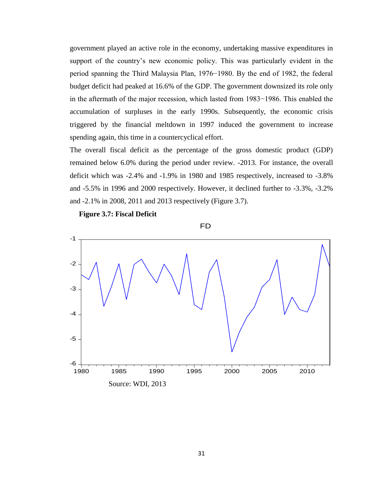government played an active role in the economy, undertaking massive expenditures in support of the country's new economic policy. This was particularly evident in the period spanning the Third Malaysia Plan, 1976−1980. By the end of 1982, the federal budget deficit had peaked at 16.6% of the GDP. The government downsized its role only in the aftermath of the major recession, which lasted from 1983−1986. This enabled the accumulation of surpluses in the early 1990s. Subsequently, the economic crisis triggered by the financial meltdown in 1997 induced the government to increase spending again, this time in a countercyclical effort.

The overall fiscal deficit as the percentage of the gross domestic product (GDP) remained below 6.0% during the period under review. -2013. For instance, the overall deficit which was -2.4% and -1.9% in 1980 and 1985 respectively, increased to -3.8% and -5.5% in 1996 and 2000 respectively. However, it declined further to -3.3%, -3.2% and -2.1% in 2008, 2011 and 2013 respectively (Figure 3.7).

 **Figure 3.7: Fiscal Deficit** 



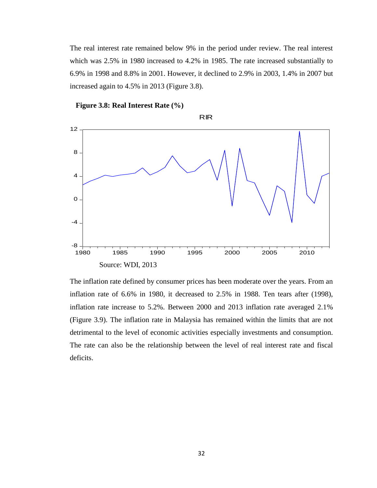The real interest rate remained below 9% in the period under review. The real interest which was 2.5% in 1980 increased to 4.2% in 1985. The rate increased substantially to 6.9% in 1998 and 8.8% in 2001. However, it declined to 2.9% in 2003, 1.4% in 2007 but increased again to 4.5% in 2013 (Figure 3.8).

 Source: WDI, 2013 -8 -4 0 4 8 12 1980 1985 1990 1995 2000 2005 2010 RIR



The inflation rate defined by consumer prices has been moderate over the years. From an inflation rate of 6.6% in 1980, it decreased to 2.5% in 1988. Ten tears after (1998), inflation rate increase to 5.2%. Between 2000 and 2013 inflation rate averaged 2.1% (Figure 3.9). The inflation rate in Malaysia has remained within the limits that are not detrimental to the level of economic activities especially investments and consumption. The rate can also be the relationship between the level of real interest rate and fiscal deficits.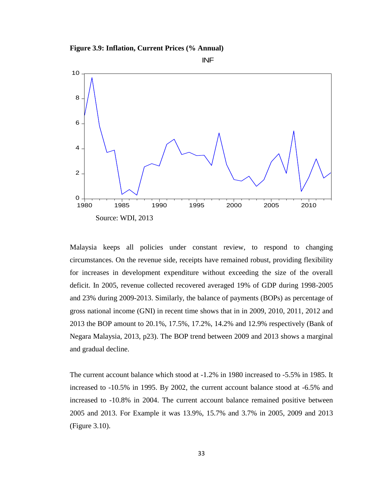**Figure 3.9: Inflation, Current Prices (% Annual)**





Malaysia keeps all policies under constant review, to respond to changing circumstances. On the revenue side, receipts have remained robust, providing flexibility for increases in development expenditure without exceeding the size of the overall deficit. In 2005, revenue collected recovered averaged 19% of GDP during 1998-2005 and 23% during 2009-2013. Similarly, the balance of payments (BOPs) as percentage of gross national income (GNI) in recent time shows that in in 2009, 2010, 2011, 2012 and 2013 the BOP amount to 20.1%, 17.5%, 17.2%, 14.2% and 12.9% respectively (Bank of Negara Malaysia, 2013, p23). The BOP trend between 2009 and 2013 shows a marginal and gradual decline.

The current account balance which stood at -1.2% in 1980 increased to -5.5% in 1985. It increased to -10.5% in 1995. By 2002, the current account balance stood at -6.5% and increased to -10.8% in 2004. The current account balance remained positive between 2005 and 2013. For Example it was 13.9%, 15.7% and 3.7% in 2005, 2009 and 2013 (Figure 3.10).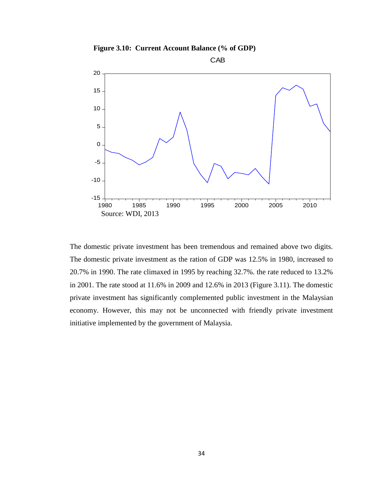**Figure 3.10: Current Account Balance (% of GDP)**



The domestic private investment has been tremendous and remained above two digits. The domestic private investment as the ration of GDP was 12.5% in 1980, increased to 20.7% in 1990. The rate climaxed in 1995 by reaching 32.7%. the rate reduced to 13.2% in 2001. The rate stood at 11.6% in 2009 and 12.6% in 2013 (Figure 3.11). The domestic private investment has significantly complemented public investment in the Malaysian economy. However, this may not be unconnected with friendly private investment initiative implemented by the government of Malaysia.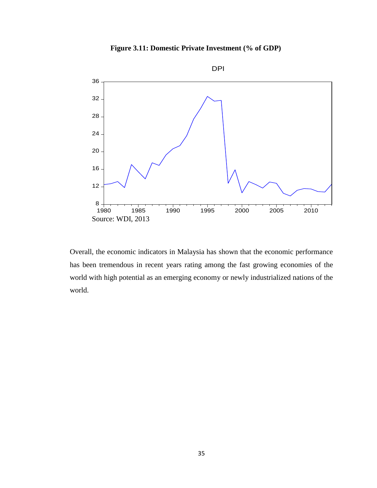**Figure 3.11: Domestic Private Investment (% of GDP)** 



Overall, the economic indicators in Malaysia has shown that the economic performance has been tremendous in recent years rating among the fast growing economies of the world with high potential as an emerging economy or newly industrialized nations of the world.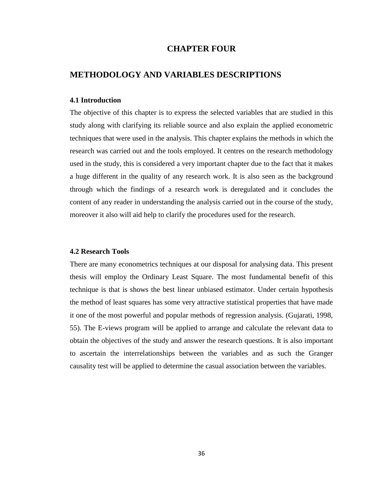# **CHAPTER FOUR**

# **METHODOLOGY AND VARIABLES DESCRIPTIONS**

#### **4.1 Introduction**

The objective of this chapter is to express the selected variables that are studied in this study along with clarifying its reliable source and also explain the applied econometric techniques that were used in the analysis. This chapter explains the methods in which the research was carried out and the tools employed. It centres on the research methodology used in the study, this is considered a very important chapter due to the fact that it makes a huge different in the quality of any research work. It is also seen as the background through which the findings of a research work is deregulated and it concludes the content of any reader in understanding the analysis carried out in the course of the study, moreover it also will aid help to clarify the procedures used for the research.

# **4.2 Research Tools**

There are many econometrics techniques at our disposal for analysing data. This present thesis will employ the Ordinary Least Square. The most fundamental benefit of this technique is that is shows the best linear unbiased estimator. Under certain hypothesis the method of least squares has some very attractive statistical properties that have made it one of the most powerful and popular methods of regression analysis. (Gujarati, 1998, 55). The E-views program will be applied to arrange and calculate the relevant data to obtain the objectives of the study and answer the research questions. It is also important to ascertain the interrelationships between the variables and as such the Granger causality test will be applied to determine the casual association between the variables.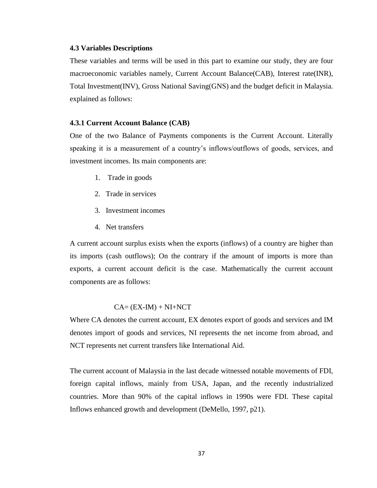#### **4.3 Variables Descriptions**

These variables and terms will be used in this part to examine our study, they are four macroeconomic variables namely, Current Account Balance(CAB), Interest rate(INR), Total Investment(INV), Gross National Saving(GNS) and the budget deficit in Malaysia. explained as follows:

## **4.3.1 Current Account Balance (CAB)**

One of the two Balance of Payments components is the Current Account. Literally speaking it is a measurement of a country"s inflows/outflows of goods, services, and investment incomes. Its main components are:

- 1. Trade in goods
- 2. Trade in services
- 3. Investment incomes
- 4. Net transfers

A current account surplus exists when the exports (inflows) of a country are higher than its imports (cash outflows); On the contrary if the amount of imports is more than exports, a current account deficit is the case. Mathematically the current account components are as follows:

#### $CA = (EX-IM) + NI+NCT$

Where CA denotes the current account, EX denotes export of goods and services and IM denotes import of goods and services, NI represents the net income from abroad, and NCT represents net current transfers like International Aid.

The current account of Malaysia in the last decade witnessed notable movements of FDI, foreign capital inflows, mainly from USA, Japan, and the recently industrialized countries. More than 90% of the capital inflows in 1990s were FDI. These capital Inflows enhanced growth and development (DeMello, 1997, p21).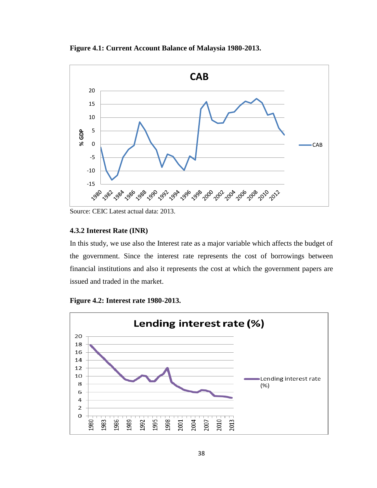**Figure 4.1: Current Account Balance of Malaysia 1980-2013.**



Source: CEIC Latest actual data: 2013.

# **4.3.2 Interest Rate (INR)**

In this study, we use also the Interest rate as a major variable which affects the budget of the government. Since the interest rate represents the cost of borrowings between financial institutions and also it represents the cost at which the government papers are issued and traded in the market.

**Figure 4.2: Interest rate 1980-2013.**

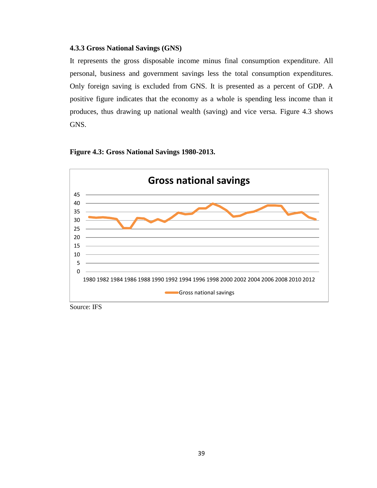# **4.3.3 Gross National Savings (GNS)**

It represents the gross disposable income minus final consumption expenditure. All personal, business and government savings less the total consumption expenditures. Only foreign saving is excluded from GNS. It is presented as a percent of GDP. A positive figure indicates that the economy as a whole is spending less income than it produces, thus drawing up national wealth (saving) and vice versa. Figure 4.3 shows GNS.

## **Figure 4.3: Gross National Savings 1980-2013.**



Source: IFS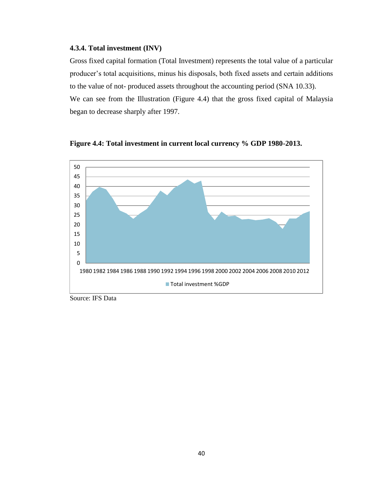# **4.3.4. Total investment (INV)**

Gross fixed capital formation (Total Investment) represents the total value of a particular producer"s total acquisitions, minus his disposals, both fixed assets and certain additions to the value of not- produced assets throughout the accounting period (SNA 10.33). We can see from the Illustration (Figure 4.4) that the gross fixed capital of Malaysia began to decrease sharply after 1997.



**Figure 4.4: Total investment in current local currency % GDP 1980-2013.**

Source: IFS Data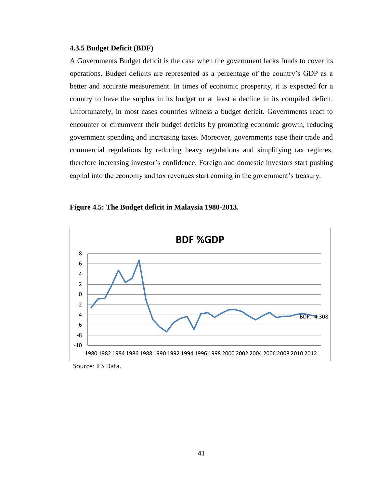#### **4.3.5 Budget Deficit (BDF)**

A Governments Budget deficit is the case when the government lacks funds to cover its operations. Budget deficits are represented as a percentage of the country"s GDP as a better and accurate measurement. In times of economic prosperity, it is expected for a country to have the surplus in its budget or at least a decline in its compiled deficit. Unfortunately, in most cases countries witness a budget deficit. Governments react to encounter or circumvent their budget deficits by promoting economic growth, reducing government spending and increasing taxes. Moreover, governments ease their trade and commercial regulations by reducing heavy regulations and simplifying tax regimes, therefore increasing investor"s confidence. Foreign and domestic investors start pushing capital into the economy and tax revenues start coming in the government"s treasury.





Source: IFS Data.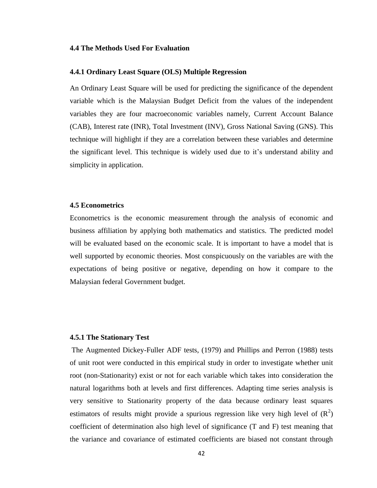#### **4.4 The Methods Used For Evaluation**

#### **4.4.1 Ordinary Least Square (OLS) Multiple Regression**

An Ordinary Least Square will be used for predicting the significance of the dependent variable which is the Malaysian Budget Deficit from the values of the independent variables they are four macroeconomic variables namely, Current Account Balance (CAB), Interest rate (INR), Total Investment (INV), Gross National Saving (GNS). This technique will highlight if they are a correlation between these variables and determine the significant level. This technique is widely used due to it"s understand ability and simplicity in application.

#### **4.5 Econometrics**

Econometrics is the economic measurement through the analysis of economic and business affiliation by applying both mathematics and statistics. The predicted model will be evaluated based on the economic scale. It is important to have a model that is well supported by economic theories. Most conspicuously on the variables are with the expectations of being positive or negative, depending on how it compare to the Malaysian federal Government budget.

#### **4.5.1 The Stationary Test**

The Augmented Dickey-Fuller ADF tests, (1979) and Phillips and Perron (1988) tests of unit root were conducted in this empirical study in order to investigate whether unit root (non-Stationarity) exist or not for each variable which takes into consideration the natural logarithms both at levels and first differences. Adapting time series analysis is very sensitive to Stationarity property of the data because ordinary least squares estimators of results might provide a spurious regression like very high level of  $(R^2)$ coefficient of determination also high level of significance (T and F) test meaning that the variance and covariance of estimated coefficients are biased not constant through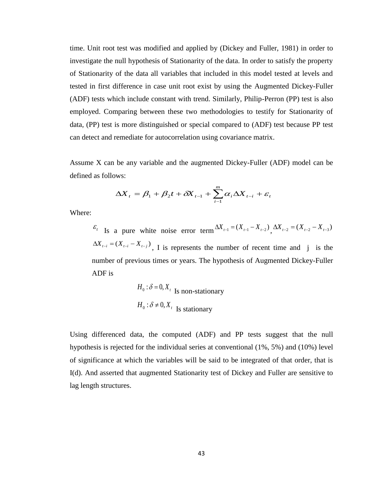time. Unit root test was modified and applied by (Dickey and Fuller, 1981) in order to investigate the null hypothesis of Stationarity of the data. In order to satisfy the property of Stationarity of the data all variables that included in this model tested at levels and tested in first difference in case unit root exist by using the Augmented Dickey-Fuller (ADF) tests which include constant with trend. Similarly, Philip-Perron (PP) test is also employed. Comparing between these two methodologies to testify for Stationarity of data, (PP) test is more distinguished or special compared to (ADF) test because PP test can detect and remediate for autocorrelation using covariance matrix.

Assume X can be any variable and the augmented Dickey-Fuller (ADF) model can be defined as follows:

$$
\Delta X_t = \beta_1 + \beta_2 t + \delta X_{t-1} + \sum_{i=1}^m \alpha_i \Delta X_{t-i} + \varepsilon_t
$$

Where:

 $\epsilon_t$  Is a pure white noise error term  $\Delta X_{t-1} = (X_{t-1} - X_{t-2}) \Delta X_{t-2} = (X_{t-2} - X_{t-3})$  $\Delta X_{t-i} = (X_{t-i} - X_{t-j})$ , I is represents the number of recent time and j is the number of previous times or years. The hypothesis of Augmented Dickey-Fuller ADF is

$$
H_0: \delta = 0, X_t
$$
Is non-stationary  

$$
H_0: \delta \neq 0, X_t
$$
Is stationary

Using differenced data, the computed (ADF) and PP tests suggest that the null hypothesis is rejected for the individual series at conventional (1%, 5%) and (10%) level of significance at which the variables will be said to be integrated of that order, that is I(d). And asserted that augmented Stationarity test of Dickey and Fuller are sensitive to lag length structures.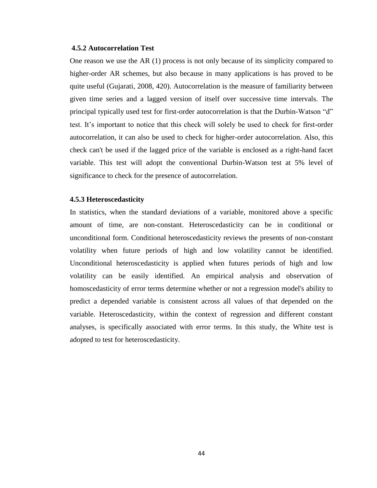#### **4.5.2 Autocorrelation Test**

One reason we use the AR (1) process is not only because of its simplicity compared to higher-order AR schemes, but also because in many applications is has proved to be quite useful (Gujarati, 2008, 420). Autocorrelation is the measure of familiarity between given time series and a lagged version of itself over successive time intervals. The principal typically used test for first-order autocorrelation is that the Durbin-Watson "d" test. It"s important to notice that this check will solely be used to check for first-order autocorrelation, it can also be used to check for higher-order autocorrelation. Also, this check can't be used if the lagged price of the variable is enclosed as a right-hand facet variable. This test will adopt the conventional Durbin-Watson test at 5% level of significance to check for the presence of autocorrelation.

## **4.5.3 Heteroscedasticity**

In statistics, when the standard deviations of a variable, monitored above a specific amount of time, are non-constant. Heteroscedasticity can be in conditional or unconditional form. Conditional heteroscedasticity reviews the presents of non-constant volatility when future periods of high and low volatility cannot be identified. Unconditional heteroscedasticity is applied when futures periods of high and low volatility can be easily identified. An empirical analysis and observation of homoscedasticity of error terms determine whether or not a regression model's ability to predict a depended variable is consistent across all values of that depended on the variable. Heteroscedasticity, within the context of regression and different constant analyses, is specifically associated with error terms. In this study, the White test is adopted to test for heteroscedasticity.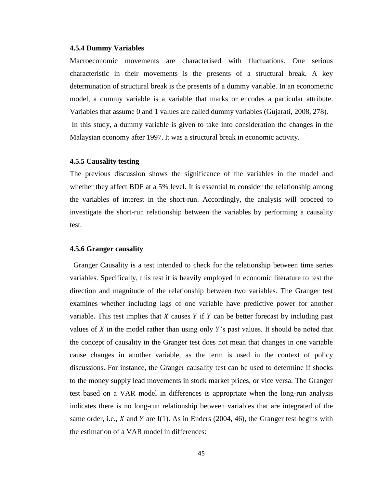#### **4.5.4 Dummy Variables**

Macroeconomic movements are characterised with fluctuations. One serious characteristic in their movements is the presents of a structural break. A key determination of structural break is the presents of a dummy variable. In an econometric model, a dummy variable is a variable that marks or encodes a particular attribute. Variables that assume 0 and 1 values are called dummy variables (Gujarati, 2008, 278). In this study, a dummy variable is given to take into consideration the changes in the Malaysian economy after 1997. It was a structural break in economic activity.

#### **4.5.5 Causality testing**

The previous discussion shows the significance of the variables in the model and whether they affect BDF at a 5% level. It is essential to consider the relationship among the variables of interest in the short-run. Accordingly, the analysis will proceed to investigate the short-run relationship between the variables by performing a causality test.

# **4.5.6 Granger causality**

Granger Causality is a test intended to check for the relationship between time series variables. Specifically, this test it is heavily employed in economic literature to test the direction and magnitude of the relationship between two variables. The Granger test examines whether including lags of one variable have predictive power for another variable. This test implies that  $X$  causes  $Y$  if  $Y$  can be better forecast by including past values of  $X$  in the model rather than using only  $Y$ 's past values. It should be noted that the concept of causality in the Granger test does not mean that changes in one variable cause changes in another variable, as the term is used in the context of policy discussions. For instance, the Granger causality test can be used to determine if shocks to the money supply lead movements in stock market prices, or vice versa. The Granger test based on a VAR model in differences is appropriate when the long-run analysis indicates there is no long-run relationship between variables that are integrated of the same order, i.e.,  $X$  and  $Y$  are I(1). As in Enders (2004, 46), the Granger test begins with the estimation of a VAR model in differences: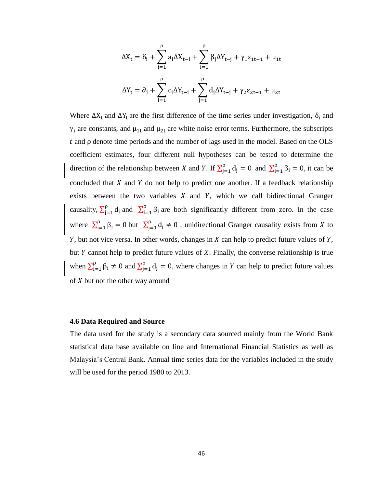$$
\Delta X_t = \delta_i + \sum_{i=1}^{\rho} a_i \Delta X_{t-i} + \sum_{i=1}^{\rho} \beta_j \Delta Y_{t-j} + \gamma_1 \epsilon_{1t-1} + \mu_{1t}
$$
  

$$
\Delta Y_t = \partial_i + \sum_{i=1}^{\rho} c_i \Delta Y_{t-i} + \sum_{j=1}^{\rho} d_j \Delta Y_{t-j} + \gamma_2 \epsilon_{2t-1} + \mu_{2t}
$$

Where  $\Delta X_t$  and  $\Delta Y_t$  are the first difference of the time series under investigation,  $\delta_i$  and  $\gamma_i$  are constants, and  $\mu_{1t}$  and  $\mu_{2t}$  are white noise error terms. Furthermore, the subscripts  *and*  $\rho$  *denote time periods and the number of lags used in the model. Based on the OLS* coefficient estimates, four different null hypotheses can be tested to determine the direction of the relationship between X and Y. If  $\sum_{j=1}^{p} d_j = 0$  and  $\sum_{i=1}^{p} \beta_i = 0$ , it can be concluded that  $X$  and  $Y$  do not help to predict one another. If a feedback relationship exists between the two variables  $X$  and  $Y$ , which we call bidirectional Granger causality,  $\sum_{i=1}^{p} d_i$  $\int_{j=1}^{\rho} d_j$  and  $\sum_{i=1}^{\rho} \beta$  $\int_{i=1}^{p} \beta_i$  are both significantly different from zero. In the case where  $\sum_{i=1}^{p} \beta_i = 0$  but  $\sum_{j=1}^{p} d$  $_{j=1}^{p} d_j \neq 0$ , unidirectional Granger causality exists from X to  $Y$ , but not vice versa. In other words, changes in  $X$  can help to predict future values of  $Y$ , but  $Y$  cannot help to predict future values of  $X$ . Finally, the converse relationship is true when  $\sum_{i=1}^{p} \beta_i \neq 0$  and  $\sum_{j=1}^{p} d$  $\int_{j=1}^{p} d_j = 0$ , where changes in Y can help to predict future values of  $X$  but not the other way around

#### **4.6 Data Required and Source**

The data used for the study is a secondary data sourced mainly from the World Bank statistical data base available on line and International Financial Statistics as well as Malaysia"s Central Bank. Annual time series data for the variables included in the study will be used for the period 1980 to 2013.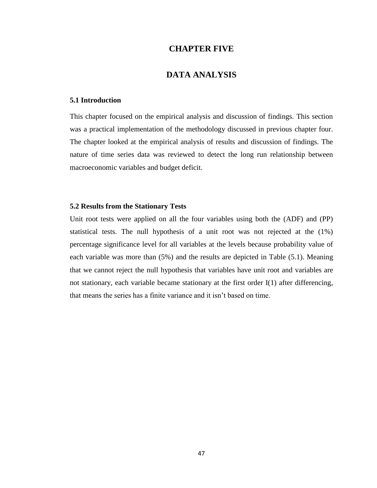# **CHAPTER FIVE**

# **DATA ANALYSIS**

## **5.1 Introduction**

This chapter focused on the empirical analysis and discussion of findings. This section was a practical implementation of the methodology discussed in previous chapter four. The chapter looked at the empirical analysis of results and discussion of findings. The nature of time series data was reviewed to detect the long run relationship between macroeconomic variables and budget deficit.

## **5.2 Results from the Stationary Tests**

Unit root tests were applied on all the four variables using both the (ADF) and (PP) statistical tests. The null hypothesis of a unit root was not rejected at the (1%) percentage significance level for all variables at the levels because probability value of each variable was more than (5%) and the results are depicted in Table (5.1). Meaning that we cannot reject the null hypothesis that variables have unit root and variables are not stationary, each variable became stationary at the first order I(1) after differencing, that means the series has a finite variance and it isn"t based on time.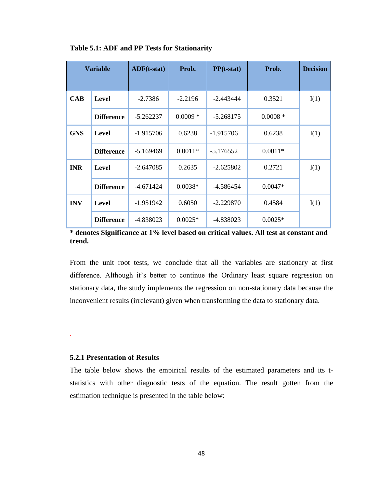| <b>Variable</b> |                   | $\bf{ADF}(t\text{-}stat)$ | Prob.     | $PP(t-stat)$ | Prob.      | <b>Decision</b> |
|-----------------|-------------------|---------------------------|-----------|--------------|------------|-----------------|
| <b>CAB</b>      | Level             | $-2.7386$                 | $-2.2196$ | $-2.443444$  | 0.3521     | I(1)            |
|                 | <b>Difference</b> | $-5.262237$               | $0.0009*$ | $-5.268175$  | $0.0008 *$ |                 |
| <b>GNS</b>      | Level             | $-1.915706$               | 0.6238    | $-1.915706$  | 0.6238     | I(1)            |
|                 | <b>Difference</b> | $-5.169469$               | $0.0011*$ | $-5.176552$  | $0.0011*$  |                 |
| <b>INR</b>      | Level             | $-2.647085$               | 0.2635    | $-2.625802$  | 0.2721     | I(1)            |
|                 | <b>Difference</b> | $-4.671424$               | $0.0038*$ | -4.586454    | $0.0047*$  |                 |
| <b>INV</b>      | Level             | $-1.951942$               | 0.6050    | $-2.229870$  | 0.4584     | I(1)            |
|                 | <b>Difference</b> | -4.838023                 | $0.0025*$ | -4.838023    | $0.0025*$  |                 |

**Table 5.1: ADF and PP Tests for Stationarity**

**\* denotes Significance at 1% level based on critical values. All test at constant and trend.**

From the unit root tests, we conclude that all the variables are stationary at first difference. Although it's better to continue the Ordinary least square regression on stationary data, the study implements the regression on non-stationary data because the inconvenient results (irrelevant) given when transforming the data to stationary data.

## **5.2.1 Presentation of Results**

.

The table below shows the empirical results of the estimated parameters and its tstatistics with other diagnostic tests of the equation. The result gotten from the estimation technique is presented in the table below: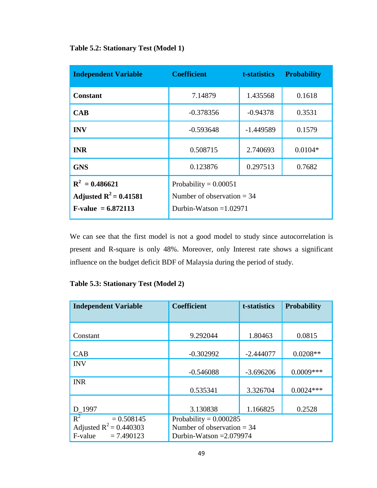| <b>Independent Variable</b>                                                 | <b>Coefficient</b>                                                                  | t-statistics | <b>Probability</b> |
|-----------------------------------------------------------------------------|-------------------------------------------------------------------------------------|--------------|--------------------|
| <b>Constant</b>                                                             | 7.14879                                                                             | 1.435568     | 0.1618             |
| CAB                                                                         | $-0.378356$                                                                         | $-0.94378$   | 0.3531             |
| <b>INV</b>                                                                  | $-0.593648$                                                                         | $-1.449589$  | 0.1579             |
| <b>INR</b>                                                                  | 0.508715                                                                            | 2.740693     | $0.0104*$          |
| <b>GNS</b>                                                                  | 0.123876                                                                            | 0.297513     | 0.7682             |
| $R^2 = 0.486621$<br>Adjusted $R^2 = 0.41581$<br><b>F-value</b> = $6.872113$ | Probability = $0.00051$<br>Number of observation $=$ 34<br>Durbin-Watson $=1.02971$ |              |                    |

We can see that the first model is not a good model to study since autocorrelation is present and R-square is only 48%. Moreover, only Interest rate shows a significant influence on the budget deficit BDF of Malaysia during the period of study.

|  | <b>Table 5.3: Stationary Test (Model 2)</b> |  |  |  |
|--|---------------------------------------------|--|--|--|
|--|---------------------------------------------|--|--|--|

| <b>Independent Variable</b>                                                | <b>Coefficient</b>                                                                    | t-statistics | Probability |
|----------------------------------------------------------------------------|---------------------------------------------------------------------------------------|--------------|-------------|
|                                                                            |                                                                                       |              |             |
| Constant                                                                   | 9.292044                                                                              | 1.80463      | 0.0815      |
| CAB                                                                        | $-0.302992$                                                                           | $-2.444077$  | $0.0208**$  |
| <b>INV</b>                                                                 | $-0.546088$                                                                           | $-3.696206$  | $0.0009***$ |
| <b>INR</b>                                                                 | 0.535341                                                                              | 3.326704     | $0.0024***$ |
| D_1997                                                                     | 3.130838                                                                              | 1.166825     | 0.2528      |
| $R^2$<br>$= 0.508145$<br>Adjusted $R^2 = 0.440303$<br>$F-value = 7.490123$ | Probability = $0.000285$<br>Number of observation $=$ 34<br>Durbin-Watson $=2.079974$ |              |             |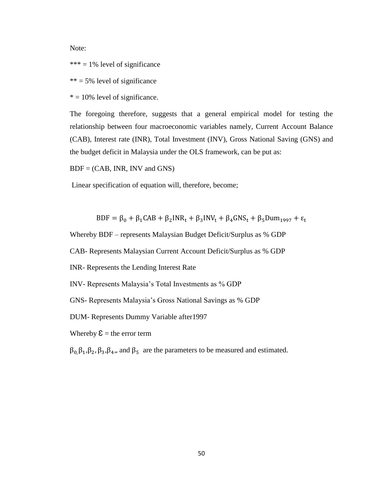Note:

 $*** = 1\%$  level of significance

 $*** = 5\%$  level of significance

 $* = 10\%$  level of significance.

The foregoing therefore, suggests that a general empirical model for testing the relationship between four macroeconomic variables namely, Current Account Balance (CAB), Interest rate (INR), Total Investment (INV), Gross National Saving (GNS) and the budget deficit in Malaysia under the OLS framework, can be put as:

 $BDF = (CAB, INR, INV, and GNS)$ 

Linear specification of equation will, therefore, become;

 $BDF = \beta_0 + \beta_1 CAB + \beta_2 INR_t + \beta_3 INV_t + \beta_4 GNS_t + \beta_5 Dum_{1997} + \varepsilon_t$ 

Whereby BDF – represents Malaysian Budget Deficit/Surplus as % GDP

CAB- Represents Malaysian Current Account Deficit/Surplus as % GDP

INR- Represents the Lending Interest Rate

INV- Represents Malaysia"s Total Investments as % GDP

GNS- Represents Malaysia"s Gross National Savings as % GDP

DUM- Represents Dummy Variable after1997

Whereby  $\mathcal{E} =$  the error term

 $\beta_0, \beta_1, \beta_2, \beta_3, \beta_4$ , and  $\beta_5$  are the parameters to be measured and estimated.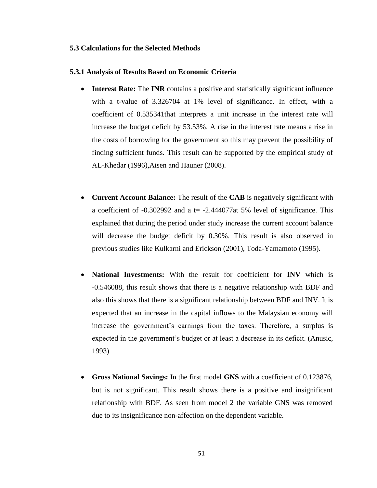# **5.3 Calculations for the Selected Methods**

#### **5.3.1 Analysis of Results Based on Economic Criteria**

- **Interest Rate:** The **INR** contains a positive and statistically significant influence with a t-value of 3.326704 at 1% level of significance. In effect, with a coefficient of 0.535341that interprets a unit increase in the interest rate will increase the budget deficit by 53.53%. A rise in the interest rate means a rise in the costs of borrowing for the government so this may prevent the possibility of finding sufficient funds. This result can be supported by the empirical study of AL-Khedar (1996),Aisen and Hauner (2008).
- **Current Account Balance:** The result of the **CAB** is negatively significant with a coefficient of  $-0.302992$  and a t=  $-2.444077$ at 5% level of significance. This explained that during the period under study increase the current account balance will decrease the budget deficit by 0.30%. This result is also observed in previous studies like Kulkarni and Erickson (2001), Toda-Yamamoto (1995).
- **National Investments:** With the result for coefficient for **INV** which is -0.546088, this result shows that there is a negative relationship with BDF and also this shows that there is a significant relationship between BDF and INV. It is expected that an increase in the capital inflows to the Malaysian economy will increase the government's earnings from the taxes. Therefore, a surplus is expected in the government's budget or at least a decrease in its deficit. (Anusic, 1993)
- **Gross National Savings:** In the first model **GNS** with a coefficient of 0.123876, but is not significant. This result shows there is a positive and insignificant relationship with BDF. As seen from model 2 the variable GNS was removed due to its insignificance non-affection on the dependent variable.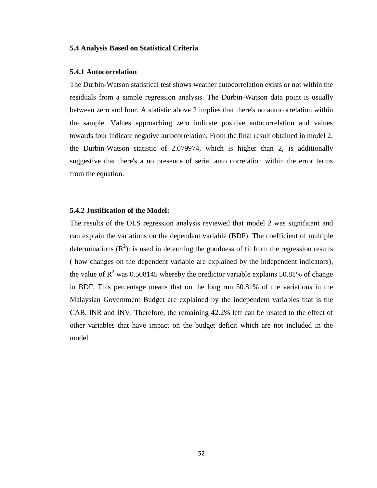# **5.4 Analysis Based on Statistical Criteria**

#### **5.4.1 Autocorrelation**

The Durbin-Watson statistical test shows weather autocorrelation exists or not within the residuals from a simple regression analysis. The Durbin-Watson data point is usually between zero and four. A statistic above 2 implies that there's no autocorrelation within the sample. Values approaching zero indicate positive autocorrelation and values towards four indicate negative autocorrelation. From the final result obtained in model 2, the Durbin-Watson statistic of 2.079974, which is higher than 2, is additionally suggestive that there's a no presence of serial auto correlation within the error terms from the equation.

# **5.4.2 Justification of the Model:**

The results of the OLS regression analysis reviewed that model 2 was significant and can explain the variations on the dependent variable (BDF). The coefficient of multiple determinations  $(R^2)$ : is used in determing the goodness of fit from the regression results ( how changes on the dependent variable are explained by the independent indicators), the value of  $R^2$  was 0.508145 whereby the predictor variable explains 50.81% of change in BDF. This percentage means that on the long run 50.81% of the variations in the Malaysian Government Budget are explained by the independent variables that is the CAB, INR and INV. Therefore, the remaining 42.2% left can be related to the effect of other variables that have impact on the budget deficit which are not included in the model.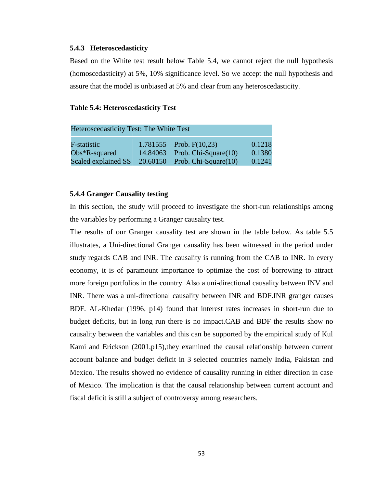#### **5.4.3 Heteroscedasticity**

Based on the White test result below Table 5.4, we cannot reject the null hypothesis (homoscedasticity) at 5%, 10% significance level. So we accept the null hypothesis and assure that the model is unbiased at 5% and clear from any heteroscedasticity.

#### **Table 5.4: Heteroscedasticity Test**

| Heteroscedasticity Test: The White Test |  |                                    |        |  |  |
|-----------------------------------------|--|------------------------------------|--------|--|--|
| F-statistic                             |  | $1.781555$ Prob. $F(10,23)$        | 0.1218 |  |  |
| $Obs*R$ -squared                        |  | 14.84063 Prob. Chi-Square(10)      | 0.1380 |  |  |
| Scaled explained SS                     |  | $20.60150$ Prob. Chi-Square $(10)$ | 0.1241 |  |  |

# **5.4.4 Granger Causality testing**

In this section, the study will proceed to investigate the short-run relationships among the variables by performing a Granger causality test.

The results of our Granger causality test are shown in the table below. As table 5.5 illustrates, a Uni-directional Granger causality has been witnessed in the period under study regards CAB and INR. The causality is running from the CAB to INR. In every economy, it is of paramount importance to optimize the cost of borrowing to attract more foreign portfolios in the country. Also a uni-directional causality between INV and INR. There was a uni-directional causality between INR and BDF.INR granger causes BDF. AL-Khedar (1996, p14) found that interest rates increases in short-run due to budget deficits, but in long run there is no impact.CAB and BDF the results show no causality between the variables and this can be supported by the empirical study of Kul Kami and Erickson (2001, p15), they examined the causal relationship between current account balance and budget deficit in 3 selected countries namely India, Pakistan and Mexico. The results showed no evidence of causality running in either direction in case of Mexico. The implication is that the causal relationship between current account and fiscal deficit is still a subject of controversy among researchers.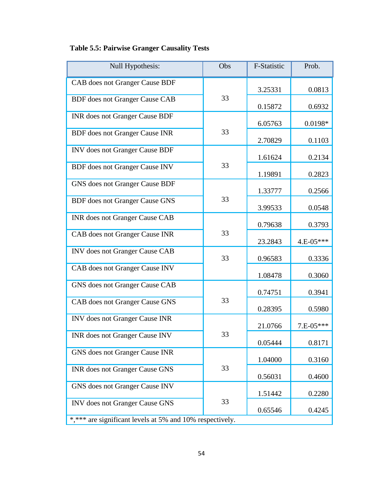| Null Hypothesis:                                         | Obs | F-Statistic | Prob.       |
|----------------------------------------------------------|-----|-------------|-------------|
| CAB does not Granger Cause BDF                           |     | 3.25331     | 0.0813      |
| <b>BDF</b> does not Granger Cause CAB                    | 33  | 0.15872     | 0.6932      |
| <b>INR</b> does not Granger Cause BDF                    |     | 6.05763     | $0.0198*$   |
| <b>BDF</b> does not Granger Cause INR                    | 33  | 2.70829     | 0.1103      |
| INV does not Granger Cause BDF                           |     | 1.61624     | 0.2134      |
| <b>BDF</b> does not Granger Cause INV                    | 33  | 1.19891     | 0.2823      |
| GNS does not Granger Cause BDF                           |     | 1.33777     | 0.2566      |
| <b>BDF</b> does not Granger Cause GNS                    | 33  | 3.99533     | 0.0548      |
| <b>INR</b> does not Granger Cause CAB                    |     | 0.79638     | 0.3793      |
| CAB does not Granger Cause INR                           | 33  | 23.2843     | 4.E-05***   |
| INV does not Granger Cause CAB                           | 33  | 0.96583     | 0.3336      |
| CAB does not Granger Cause INV                           |     | 1.08478     | 0.3060      |
| GNS does not Granger Cause CAB                           |     | 0.74751     | 0.3941      |
| CAB does not Granger Cause GNS                           | 33  | 0.28395     | 0.5980      |
| INV does not Granger Cause INR                           |     | 21.0766     | $7.E-05***$ |
| INR does not Granger Cause INV                           | 33  |             |             |
| GNS does not Granger Cause INR                           |     | 0.05444     | 0.8171      |
| INR does not Granger Cause GNS                           | 33  | 1.04000     | 0.3160      |
| GNS does not Granger Cause INV                           |     | 0.56031     | 0.4600      |
| <b>INV</b> does not Granger Cause GNS                    | 33  | 1.51442     | 0.2280      |
| *,*** are significant levels at 5% and 10% respectively. |     | 0.65546     | 0.4245      |

# **Table 5.5: Pairwise Granger Causality Tests**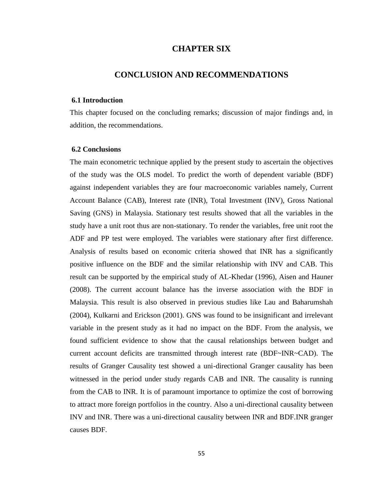# **CHAPTER SIX**

# **CONCLUSION AND RECOMMENDATIONS**

## **6.1 Introduction**

This chapter focused on the concluding remarks; discussion of major findings and, in addition, the recommendations.

# **6.2 Conclusions**

The main econometric technique applied by the present study to ascertain the objectives of the study was the OLS model. To predict the worth of dependent variable (BDF) against independent variables they are four macroeconomic variables namely, Current Account Balance (CAB), Interest rate (INR), Total Investment (INV), Gross National Saving (GNS) in Malaysia. Stationary test results showed that all the variables in the study have a unit root thus are non-stationary. To render the variables, free unit root the ADF and PP test were employed. The variables were stationary after first difference. Analysis of results based on economic criteria showed that INR has a significantly positive influence on the BDF and the similar relationship with INV and CAB. This result can be supported by the empirical study of AL-Khedar (1996), Aisen and Hauner (2008). The current account balance has the inverse association with the BDF in Malaysia. This result is also observed in previous studies like Lau and Baharumshah (2004), Kulkarni and Erickson (2001). GNS was found to be insignificant and irrelevant variable in the present study as it had no impact on the BDF. From the analysis, we found sufficient evidence to show that the causal relationships between budget and current account deficits are transmitted through interest rate (BDF~INR~CAD). The results of Granger Causality test showed a uni-directional Granger causality has been witnessed in the period under study regards CAB and INR. The causality is running from the CAB to INR. It is of paramount importance to optimize the cost of borrowing to attract more foreign portfolios in the country. Also a uni-directional causality between INV and INR. There was a uni-directional causality between INR and BDF.INR granger causes BDF.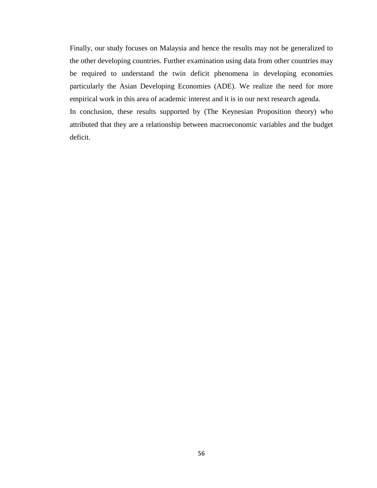Finally, our study focuses on Malaysia and hence the results may not be generalized to the other developing countries. Further examination using data from other countries may be required to understand the twin deficit phenomena in developing economies particularly the Asian Developing Economies (ADE). We realize the need for more empirical work in this area of academic interest and it is in our next research agenda. In conclusion, these results supported by (The Keynesian Proposition theory) who attributed that they are a relationship between macroeconomic variables and the budget deficit.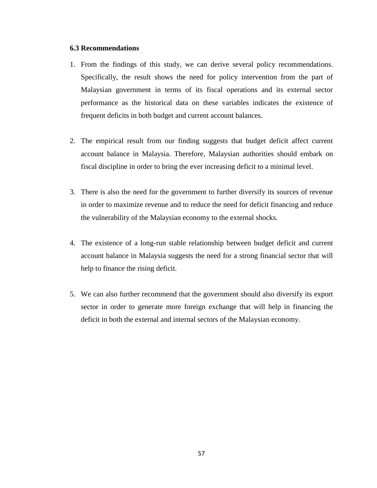# **6.3 Recommendations**

- 1. From the findings of this study, we can derive several policy recommendations. Specifically, the result shows the need for policy intervention from the part of Malaysian government in terms of its fiscal operations and its external sector performance as the historical data on these variables indicates the existence of frequent deficits in both budget and current account balances.
- 2. The empirical result from our finding suggests that budget deficit affect current account balance in Malaysia. Therefore, Malaysian authorities should embark on fiscal discipline in order to bring the ever increasing deficit to a minimal level.
- 3. There is also the need for the government to further diversify its sources of revenue in order to maximize revenue and to reduce the need for deficit financing and reduce the vulnerability of the Malaysian economy to the external shocks.
- 4. The existence of a long-run stable relationship between budget deficit and current account balance in Malaysia suggests the need for a strong financial sector that will help to finance the rising deficit.
- 5. We can also further recommend that the government should also diversify its export sector in order to generate more foreign exchange that will help in financing the deficit in both the external and internal sectors of the Malaysian economy.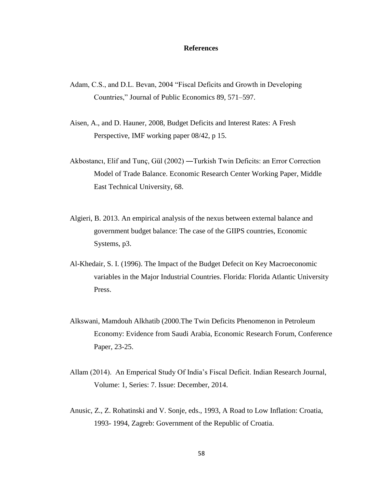#### **References**

- Adam, C.S., and D.L. Bevan, 2004 "Fiscal Deficits and Growth in Developing Countries," Journal of Public Economics 89, 571–597.
- Aisen, A., and D. Hauner, 2008, Budget Deficits and Interest Rates: A Fresh Perspective, IMF working paper 08/42, p 15.
- Akbostancı, Elif and Tunç, Gül (2002) ―Turkish Twin Deficits: an Error Correction Model of Trade Balance. Economic Research Center Working Paper, Middle East Technical University, 68.
- Algieri, B. 2013. An empirical analysis of the nexus between external balance and government budget balance: The case of the GIIPS countries, Economic Systems, p3.
- Al-Khedair, S. I. (1996). The Impact of the Budget Defecit on Key Macroeconomic variables in the Major Industrial Countries. Florida: Florida Atlantic University Press.
- Alkswani, Mamdouh Alkhatib (2000.The Twin Deficits Phenomenon in Petroleum Economy: Evidence from Saudi Arabia, Economic Research Forum, Conference Paper, 23-25.
- Allam (2014). An Emperical Study Of India"s Fiscal Deficit. Indian Research Journal, Volume: 1, Series: 7. Issue: December, 2014.
- Anusic, Z., Z. Rohatinski and V. Sonje, eds., 1993, A Road to Low Inflation: Croatia, 1993- 1994, Zagreb: Government of the Republic of Croatia.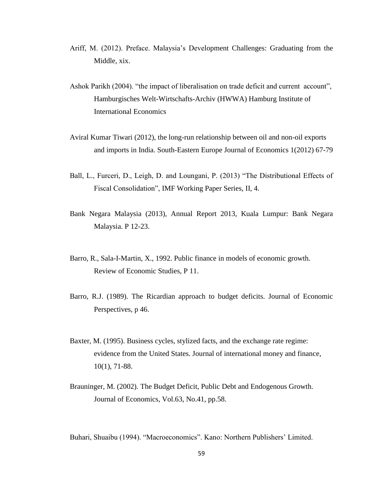- Ariff, M. (2012). Preface. Malaysia"s Development Challenges: Graduating from the Middle, xix.
- Ashok Parikh (2004). "the impact of liberalisation on trade deficit and current account", Hamburgisches Welt-Wirtschafts-Archiv (HWWA) Hamburg Institute of International Economics
- Aviral Kumar Tiwari (2012), the long-run relationship between oil and non-oil exports and imports in India. South-Eastern Europe Journal of Economics 1(2012) 67-79
- Ball, L., Furceri, D., Leigh, D. and Loungani, P. (2013) "The Distributional Effects of Fiscal Consolidation", IMF Working Paper Series, II, 4.
- Bank Negara Malaysia (2013), Annual Report 2013, Kuala Lumpur: Bank Negara Malaysia. P 12-23.
- Barro, R., Sala-I-Martin, X., 1992. Public finance in models of economic growth. Review of Economic Studies, P 11.
- Barro, R.J. (1989). The Ricardian approach to budget deficits. Journal of Economic Perspectives, p 46.
- Baxter, M. (1995). Business cycles, stylized facts, and the exchange rate regime: evidence from the United States. Journal of international money and finance, 10(1), 71-88.
- Brauninger, M. (2002). The Budget Deficit, Public Debt and Endogenous Growth. Journal of Economics, Vol.63, No.41, pp.58.

Buhari, Shuaibu (1994). "Macroeconomics". Kano: Northern Publishers' Limited.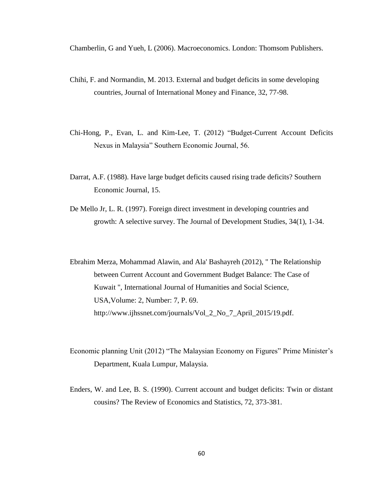Chamberlin, G and Yueh, L (2006). Macroeconomics. London: Thomsom Publishers.

- Chihi, F. and Normandin, M. 2013. External and budget deficits in some developing countries, Journal of International Money and Finance, 32, 77-98.
- Chi-Hong, P., Evan, L. and Kim-Lee, T. (2012) "Budget-Current Account Deficits Nexus in Malaysia" Southern Economic Journal, 56.
- Darrat, A.F. (1988). Have large budget deficits caused rising trade deficits? Southern Economic Journal, 15.
- De Mello Jr, L. R. (1997). Foreign direct investment in developing countries and growth: A selective survey. The Journal of Development Studies, 34(1), 1-34.

Ebrahim Merza, Mohammad Alawin, and Ala' Bashayreh (2012), " The Relationship between Current Account and Government Budget Balance: The Case of Kuwait ", International Journal of Humanities and Social Science, USA,Volume: 2, Number: 7, P. 69. [http://www.ijhssnet.com/journals/Vol\\_2\\_No\\_7\\_April\\_2015/19.pdf.](http://www.ijhssnet.com/journals/Vol_2_No_7_April_2015/19.pdf)

- Economic planning Unit (2012) "The Malaysian Economy on Figures" Prime Minister's Department, Kuala Lumpur, Malaysia.
- Enders, W. and Lee, B. S. (1990). Current account and budget deficits: Twin or distant cousins? The Review of Economics and Statistics, 72, 373-381.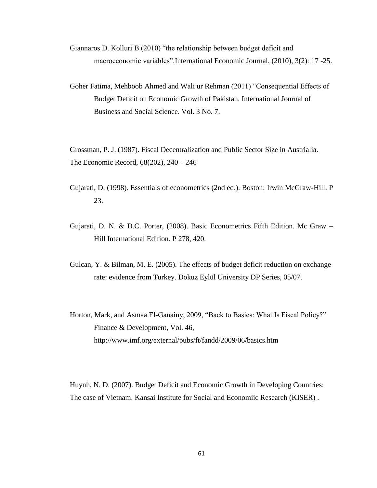- Giannaros D. Kolluri B.(2010) "the relationship between budget deficit and macroeconomic variables".International Economic Journal, (2010), 3(2): 17 -25.
- Goher Fatima, Mehboob Ahmed and Wali ur Rehman (2011) "Consequential Effects of Budget Deficit on Economic Growth of Pakistan. International Journal of Business and Social Science. Vol. 3 No. 7.

Grossman, P. J. (1987). Fiscal Decentralization and Public Sector Size in Austrialia. The Economic Record, 68(202), 240 – 246

- Gujarati, D. (1998). Essentials of econometrics (2nd ed.). Boston: Irwin McGraw-Hill. P 23.
- Gujarati, D. N. & D.C. Porter, (2008). Basic Econometrics Fifth Edition. Mc Graw Hill International Edition. P 278, 420.
- Gulcan, Y. & Bilman, M. E. (2005). The effects of budget deficit reduction on exchange rate: evidence from Turkey. Dokuz Eylül University DP Series, 05/07.
- Horton, Mark, and Asmaa El-Ganainy, 2009, "Back to Basics: What Is Fiscal Policy?" Finance & Development, Vol. 46, http://www.imf.org/external/pubs/ft/fandd/2009/06/basics.htm

Huynh, N. D. (2007). Budget Deficit and Economic Growth in Developing Countries: The case of Vietnam. Kansai Institute for Social and Economiic Research (KISER) .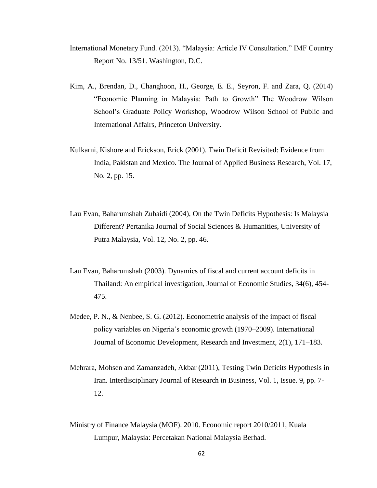- International Monetary Fund. (2013). "Malaysia: Article IV Consultation." IMF Country Report No. 13/51. Washington, D.C.
- Kim, A., Brendan, D., Changhoon, H., George, E. E., Seyron, F. and Zara, Q. (2014) "Economic Planning in Malaysia: Path to Growth" The Woodrow Wilson School"s Graduate Policy Workshop, Woodrow Wilson School of Public and International Affairs, Princeton University.
- Kulkarni, Kishore and Erickson, Erick (2001). Twin Deficit Revisited: Evidence from India, Pakistan and Mexico. The Journal of Applied Business Research, Vol. 17, No. 2, pp. 15.
- Lau Evan, Baharumshah Zubaidi (2004), On the Twin Deficits Hypothesis: Is Malaysia Different? Pertanika Journal of Social Sciences & Humanities, University of Putra Malaysia, Vol. 12, No. 2, pp. 46.
- Lau Evan, Baharumshah (2003). Dynamics of fiscal and current account deficits in Thailand: An empirical investigation, Journal of Economic Studies, 34(6), 454- 475.
- Medee, P. N., & Nenbee, S. G. (2012). Econometric analysis of the impact of fiscal policy variables on Nigeria"s economic growth (1970–2009). International Journal of Economic Development, Research and Investment, 2(1), 171–183.
- Mehrara, Mohsen and Zamanzadeh, Akbar (2011), Testing Twin Deficits Hypothesis in Iran. Interdisciplinary Journal of Research in Business, Vol. 1, Issue. 9, pp. 7- 12.
- Ministry of Finance Malaysia (MOF). 2010. Economic report 2010/2011, Kuala Lumpur, Malaysia: Percetakan National Malaysia Berhad.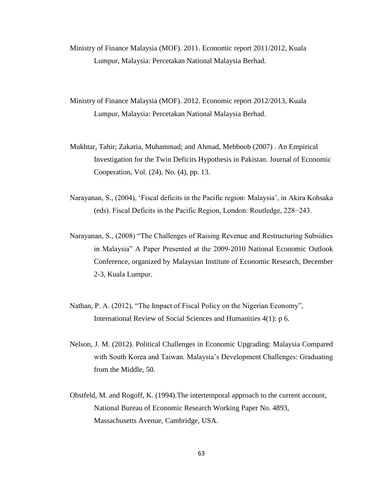- Ministry of Finance Malaysia (MOF). 2011. Economic report 2011/2012, Kuala Lumpur, Malaysia: Percetakan National Malaysia Berhad.
- Ministry of Finance Malaysia (MOF). 2012. Economic report 2012/2013, Kuala Lumpur, Malaysia: Percetakan National Malaysia Berhad.
- Mukhtar, Tahir; Zakaria, Muhammad; and Ahmad, Mehboob (2007) . An Empirical Investigation for the Twin Deficits Hypothesis in Pakistan. Journal of Economic Cooperation, Vol. (24), No. (4), pp. 13.
- Narayanan, S., (2004), "Fiscal deficits in the Pacific region: Malaysia", in Akira Kohsaka (eds). Fiscal Deficits in the Pacific Region, London: Routledge, 228−243.
- Narayanan, S., (2008) "The Challenges of Raising Revenue and Restructuring Subsidies in Malaysia" A Paper Presented at the 2009-2010 National Economic Outlook Conference, organized by Malaysian Institute of Economic Research, December 2-3, Kuala Lumpur.
- Nathan, P. A. (2012), "The Impact of Fiscal Policy on the Nigerian Economy", International Review of Social Sciences and Humanities 4(1): p 6.
- Nelson, J. M. (2012). Political Challenges in Economic Upgrading: Malaysia Compared with South Korea and Taiwan. Malaysia's Development Challenges: Graduating from the Middle, 50.
- Obstfeld, M. and Rogoff, K. (1994).The intertemporal approach to the current account, National Bureau of Economic Research Working Paper No. 4893, Massachusetts Avenue, Cambridge, USA.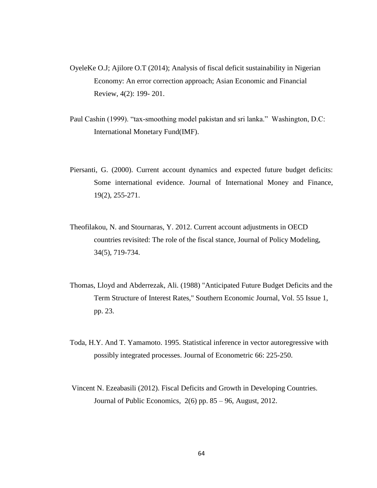- OyeleKe O.J; Ajilore O.T (2014); Analysis of fiscal deficit sustainability in Nigerian Economy: An error correction approach; Asian Economic and Financial Review, 4(2): 199- 201.
- Paul Cashin (1999). "tax-smoothing model pakistan and sri lanka." Washington, D.C: International Monetary Fund(IMF).
- Piersanti, G. (2000). Current account dynamics and expected future budget deficits: Some international evidence. Journal of International Money and Finance, 19(2), 255-271.
- Theofilakou, N. and Stournaras, Y. 2012. Current account adjustments in OECD countries revisited: The role of the fiscal stance, Journal of Policy Modeling, 34(5), 719-734.
- Thomas, Lloyd and Abderrezak, Ali. (1988) "Anticipated Future Budget Deficits and the Term Structure of Interest Rates," Southern Economic Journal, Vol. 55 Issue 1, pp. 23.
- Toda, H.Y. And T. Yamamoto. 1995. Statistical inference in vector autoregressive with possibly integrated processes. Journal of Econometric 66: 225-250.
- Vincent N. Ezeabasili (2012). Fiscal Deficits and Growth in Developing Countries. Journal of Public Economics, 2(6) pp. 85 – 96, August, 2012.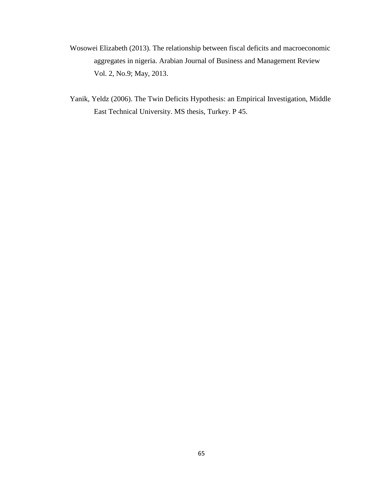- Wosowei Elizabeth (2013). The relationship between fiscal deficits and macroeconomic aggregates in nigeria. Arabian Journal of Business and Management Review Vol. 2, No.9; May, 2013.
- Yanik, Yeldz (2006). The Twin Deficits Hypothesis: an Empirical Investigation, Middle East Technical University. MS thesis, Turkey. P 45.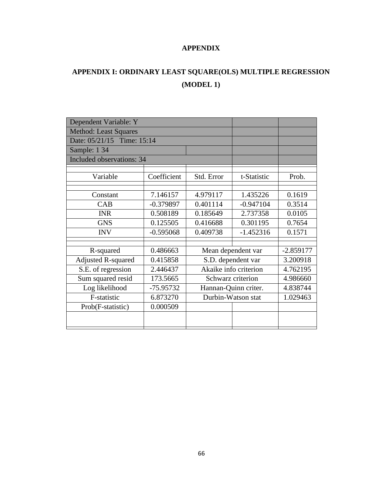#### **APPENDIX**

# **APPENDIX I: ORDINARY LEAST SQUARE(OLS) MULTIPLE REGRESSION (MODEL 1)**

| Dependent Variable: Y            |             |                       |             |          |
|----------------------------------|-------------|-----------------------|-------------|----------|
| <b>Method: Least Squares</b>     |             |                       |             |          |
| Date: 05/21/15 Time: 15:14       |             |                       |             |          |
| Sample: 1 34                     |             |                       |             |          |
| <b>Included observations: 34</b> |             |                       |             |          |
|                                  |             |                       |             |          |
| Variable                         | Coefficient | Std. Error            | t-Statistic | Prob.    |
|                                  |             |                       |             |          |
| Constant                         | 7.146157    | 4.979117              | 1.435226    | 0.1619   |
| CAB                              | $-0.379897$ | 0.401114              | $-0.947104$ | 0.3514   |
| <b>INR</b>                       | 0.508189    | 0.185649              | 2.737358    | 0.0105   |
| <b>GNS</b>                       | 0.125505    | 0.416688              | 0.301195    | 0.7654   |
| <b>INV</b>                       | $-0.595068$ | 0.409738              | $-1.452316$ | 0.1571   |
|                                  |             |                       |             |          |
| R-squared                        | 0.486663    | Mean dependent var    | $-2.859177$ |          |
| <b>Adjusted R-squared</b>        | 0.415858    | S.D. dependent var    |             | 3.200918 |
| S.E. of regression               | 2.446437    | Akaike info criterion |             | 4.762195 |
| Sum squared resid                | 173.5665    | Schwarz criterion     |             | 4.986660 |
| Log likelihood                   | -75.95732   | Hannan-Quinn criter.  |             | 4.838744 |
| F-statistic                      | 6.873270    | Durbin-Watson stat    |             | 1.029463 |
| Prob(F-statistic)                | 0.000509    |                       |             |          |
|                                  |             |                       |             |          |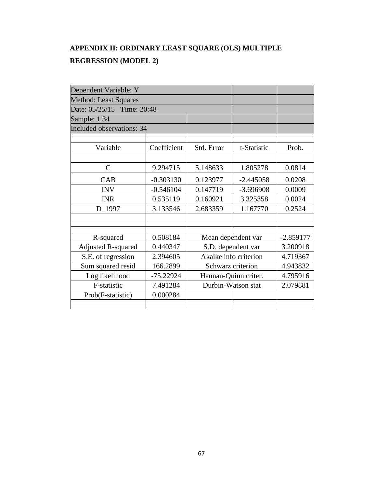## **APPENDIX II: ORDINARY LEAST SQUARE (OLS) MULTIPLE REGRESSION (MODEL 2)**

| Dependent Variable: Y            |             |                       |             |             |
|----------------------------------|-------------|-----------------------|-------------|-------------|
| <b>Method: Least Squares</b>     |             |                       |             |             |
| Date: 05/25/15 Time: 20:48       |             |                       |             |             |
| Sample: 1 34                     |             |                       |             |             |
| <b>Included observations: 34</b> |             |                       |             |             |
|                                  |             |                       |             |             |
| Variable                         | Coefficient | Std. Error            | t-Statistic | Prob.       |
|                                  |             |                       |             |             |
| $\mathcal{C}$                    | 9.294715    | 5.148633              | 1.805278    | 0.0814      |
| CAB                              | $-0.303130$ | 0.123977              | $-2.445058$ | 0.0208      |
| <b>INV</b>                       | $-0.546104$ | 0.147719              | $-3.696908$ | 0.0009      |
| <b>INR</b>                       | 0.535119    | 0.160921              | 3.325358    | 0.0024      |
| D_1997                           | 3.133546    | 2.683359              | 1.167770    | 0.2524      |
|                                  |             |                       |             |             |
|                                  |             |                       |             |             |
| R-squared                        | 0.508184    | Mean dependent var    |             | $-2.859177$ |
| <b>Adjusted R-squared</b>        | 0.440347    | S.D. dependent var    |             | 3.200918    |
| S.E. of regression               | 2.394605    | Akaike info criterion |             | 4.719367    |
| Sum squared resid                | 166.2899    | Schwarz criterion     |             | 4.943832    |
| Log likelihood                   | $-75.22924$ | Hannan-Quinn criter.  |             | 4.795916    |
| F-statistic                      | 7.491284    | Durbin-Watson stat    |             | 2.079881    |
| Prob(F-statistic)                | 0.000284    |                       |             |             |
|                                  |             |                       |             |             |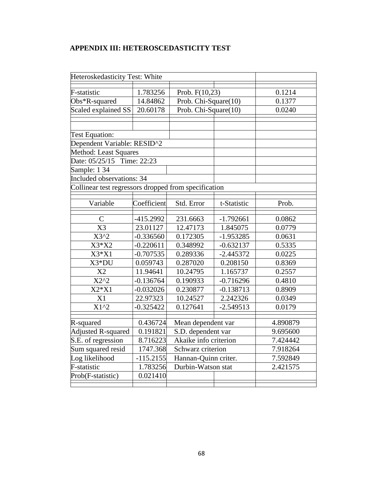#### **APPENDIX III: HETEROSCEDASTICITY TEST**

| Heteroskedasticity Test: White                       |             |                       |             |          |  |
|------------------------------------------------------|-------------|-----------------------|-------------|----------|--|
| F-statistic                                          | 1.783256    | Prob. F(10,23)        |             | 0.1214   |  |
| Obs*R-squared                                        | 14.84862    | Prob. Chi-Square(10)  |             | 0.1377   |  |
| Scaled explained SS                                  | 20.60178    | Prob. Chi-Square(10)  |             | 0.0240   |  |
|                                                      |             |                       |             |          |  |
|                                                      |             |                       |             |          |  |
| <b>Test Equation:</b>                                |             |                       |             |          |  |
| Dependent Variable: RESID^2                          |             |                       |             |          |  |
| <b>Method: Least Squares</b>                         |             |                       |             |          |  |
| Date: 05/25/15 Time: 22:23                           |             |                       |             |          |  |
| Sample: 1 34                                         |             |                       |             |          |  |
| <b>Included observations: 34</b>                     |             |                       |             |          |  |
| Collinear test regressors dropped from specification |             |                       |             |          |  |
|                                                      |             |                       |             |          |  |
| Variable                                             | Coefficient | Std. Error            | t-Statistic | Prob.    |  |
| $\mathsf{C}$                                         | $-415.2992$ | 231.6663              | $-1.792661$ | 0.0862   |  |
| $\overline{X3}$                                      | 23.01127    | 12.47173              | 1.845075    | 0.0779   |  |
| $X3^2$                                               | $-0.336560$ | 0.172305              | $-1.953285$ | 0.0631   |  |
| X3*X2                                                | $-0.220611$ | 0.348992              | $-0.632137$ | 0.5335   |  |
| $X3*X1$                                              | $-0.707535$ | 0.289336              | $-2.445372$ | 0.0225   |  |
| X3*DU                                                | 0.059743    | 0.287020              | 0.208150    | 0.8369   |  |
| X2                                                   | 11.94641    | 10.24795              | 1.165737    | 0.2557   |  |
| $\overline{X}2^{\wedge}2$                            | $-0.136764$ | 0.190933              | $-0.716296$ | 0.4810   |  |
| $X2*X1$                                              | $-0.032026$ | 0.230877              | $-0.138713$ | 0.8909   |  |
| X1                                                   | 22.97323    | 10.24527              | 2.242326    | 0.0349   |  |
| $\overline{X1^{2}}$                                  | $-0.325422$ | 0.127641              | $-2.549513$ | 0.0179   |  |
|                                                      |             |                       |             |          |  |
| R-squared                                            | 0.436724    | Mean dependent var    |             | 4.890879 |  |
| <b>Adjusted R-squared</b>                            | 0.191821    | S.D. dependent var    |             | 9.695600 |  |
| S.E. of regression                                   | 8.716223    | Akaike info criterion |             | 7.424442 |  |
| Sum squared resid                                    | 1747.368    | Schwarz criterion     |             | 7.918264 |  |
| Log likelihood                                       | $-115.2155$ | Hannan-Quinn criter.  |             | 7.592849 |  |
| F-statistic                                          | 1.783256    | Durbin-Watson stat    |             | 2.421575 |  |
| Prob(F-statistic)                                    | 0.021410    |                       |             |          |  |
|                                                      |             |                       |             |          |  |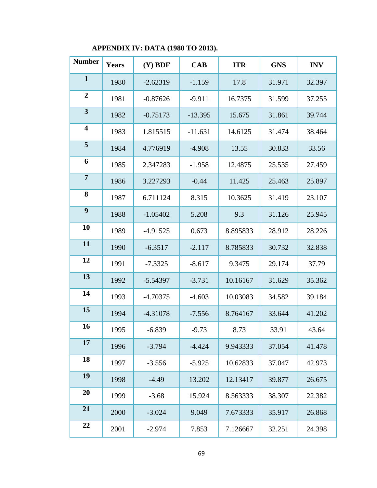## **APPENDIX IV: DATA (1980 TO 2013).**

| <b>Number</b>           | <b>Years</b> | $(Y)$ BDF  | <b>CAB</b> | <b>ITR</b> | <b>GNS</b> | <b>INV</b> |
|-------------------------|--------------|------------|------------|------------|------------|------------|
| $\mathbf{1}$            | 1980         | $-2.62319$ | $-1.159$   | 17.8       | 31.971     | 32.397     |
| $\overline{2}$          | 1981         | $-0.87626$ | $-9.911$   | 16.7375    | 31.599     | 37.255     |
| $\overline{\mathbf{3}}$ | 1982         | $-0.75173$ | $-13.395$  | 15.675     | 31.861     | 39.744     |
| $\overline{\mathbf{4}}$ | 1983         | 1.815515   | $-11.631$  | 14.6125    | 31.474     | 38.464     |
| 5                       | 1984         | 4.776919   | $-4.908$   | 13.55      | 30.833     | 33.56      |
| 6                       | 1985         | 2.347283   | $-1.958$   | 12.4875    | 25.535     | 27.459     |
| $\overline{7}$          | 1986         | 3.227293   | $-0.44$    | 11.425     | 25.463     | 25.897     |
| 8                       | 1987         | 6.711124   | 8.315      | 10.3625    | 31.419     | 23.107     |
| $\boldsymbol{9}$        | 1988         | $-1.05402$ | 5.208      | 9.3        | 31.126     | 25.945     |
| 10                      | 1989         | $-4.91525$ | 0.673      | 8.895833   | 28.912     | 28.226     |
| 11                      | 1990         | $-6.3517$  | $-2.117$   | 8.785833   | 30.732     | 32.838     |
| 12                      | 1991         | $-7.3325$  | $-8.617$   | 9.3475     | 29.174     | 37.79      |
| 13                      | 1992         | $-5.54397$ | $-3.731$   | 10.16167   | 31.629     | 35.362     |
| 14                      | 1993         | $-4.70375$ | $-4.603$   | 10.03083   | 34.582     | 39.184     |
| 15                      | 1994         | $-4.31078$ | $-7.556$   | 8.764167   | 33.644     | 41.202     |
| 16                      | 1995         | $-6.839$   | $-9.73$    | 8.73       | 33.91      | 43.64      |
| 17                      | 1996         | $-3.794$   | $-4.424$   | 9.943333   | 37.054     | 41.478     |
| 18                      | 1997         | $-3.556$   | $-5.925$   | 10.62833   | 37.047     | 42.973     |
| 19                      | 1998         | $-4.49$    | 13.202     | 12.13417   | 39.877     | 26.675     |
| 20                      | 1999         | $-3.68$    | 15.924     | 8.563333   | 38.307     | 22.382     |
| 21                      | 2000         | $-3.024$   | 9.049      | 7.673333   | 35.917     | 26.868     |
| 22                      | 2001         | $-2.974$   | 7.853      | 7.126667   | 32.251     | 24.398     |